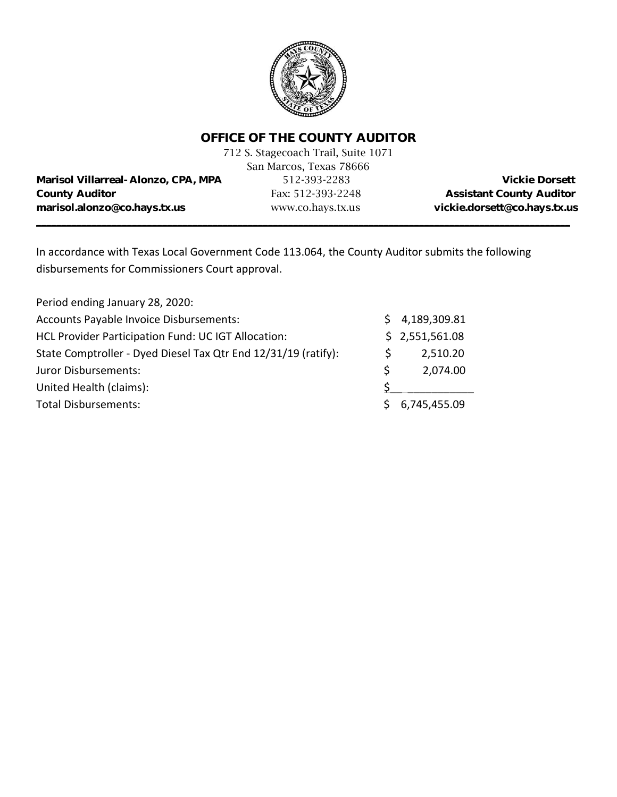

### **OFFICE OF THE COUNTY AUDITOR**

|                                            | 712 S. Stagecoach Trail, Suite 1071 |                                 |
|--------------------------------------------|-------------------------------------|---------------------------------|
|                                            | San Marcos, Texas 78666             |                                 |
| <b>Marisol Villarreal-Alonzo, CPA, MPA</b> | 512-393-2283                        | <b>Vickie Dorsett</b>           |
| <b>County Auditor</b>                      | Fax: 512-393-2248                   | <b>Assistant County Auditor</b> |
| marisol.alonzo@co.hays.tx.us               | www.co.hays.tx.us                   | vickie.dorsett@co.hays.tx.us    |
|                                            |                                     |                                 |

In accordance with Texas Local Government Code 113.064, the County Auditor submits the following disbursements for Commissioners Court approval.

| Period ending January 28, 2020:                                |    |                |  |
|----------------------------------------------------------------|----|----------------|--|
| Accounts Payable Invoice Disbursements:                        |    | 4,189,309.81   |  |
| HCL Provider Participation Fund: UC IGT Allocation:            |    | \$2,551,561.08 |  |
| State Comptroller - Dyed Diesel Tax Qtr End 12/31/19 (ratify): |    | 2,510.20       |  |
| Juror Disbursements:                                           | Ŝ. | 2,074.00       |  |
| United Health (claims):                                        |    |                |  |
| <b>Total Disbursements:</b>                                    |    | 6,745,455.09   |  |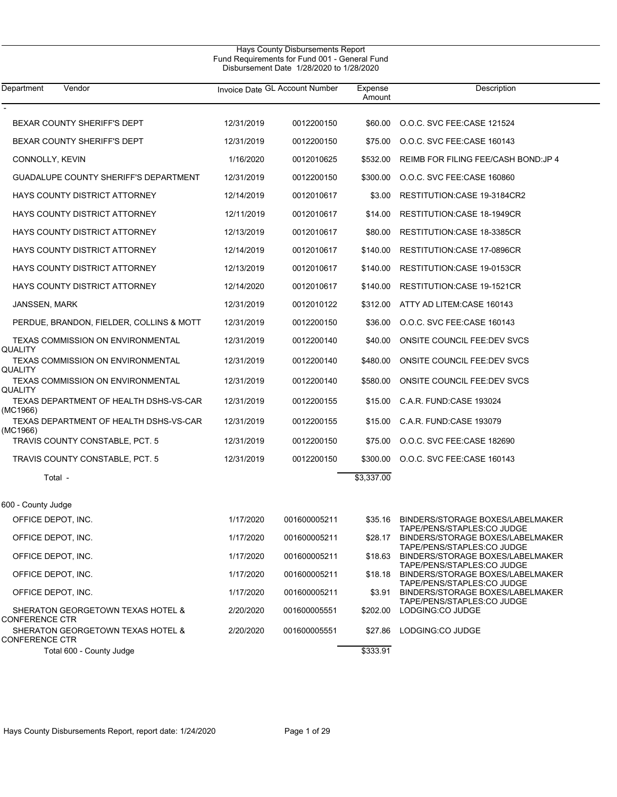| Department<br>Vendor                                       |            | Invoice Date GL Account Number | Expense<br>Amount | Description                                                    |
|------------------------------------------------------------|------------|--------------------------------|-------------------|----------------------------------------------------------------|
| BEXAR COUNTY SHERIFF'S DEPT                                | 12/31/2019 | 0012200150                     | \$60.00           | O.O.C. SVC FEE:CASE 121524                                     |
| BEXAR COUNTY SHERIFF'S DEPT                                | 12/31/2019 | 0012200150                     | \$75.00           | O.O.C. SVC FEE:CASE 160143                                     |
| CONNOLLY, KEVIN                                            | 1/16/2020  | 0012010625                     | \$532.00          | REIMB FOR FILING FEE/CASH BOND: JP 4                           |
| <b>GUADALUPE COUNTY SHERIFF'S DEPARTMENT</b>               | 12/31/2019 | 0012200150                     | \$300.00          | O.O.C. SVC FEE:CASE 160860                                     |
| HAYS COUNTY DISTRICT ATTORNEY                              | 12/14/2019 | 0012010617                     | \$3.00            | RESTITUTION:CASE 19-3184CR2                                    |
| HAYS COUNTY DISTRICT ATTORNEY                              | 12/11/2019 | 0012010617                     | \$14.00           | <b>RESTITUTION:CASE 18-1949CR</b>                              |
| HAYS COUNTY DISTRICT ATTORNEY                              | 12/13/2019 | 0012010617                     | \$80.00           | RESTITUTION:CASE 18-3385CR                                     |
| HAYS COUNTY DISTRICT ATTORNEY                              | 12/14/2019 | 0012010617                     | \$140.00          | RESTITUTION: CASE 17-0896CR                                    |
| HAYS COUNTY DISTRICT ATTORNEY                              | 12/13/2019 | 0012010617                     | \$140.00          | RESTITUTION:CASE 19-0153CR                                     |
| HAYS COUNTY DISTRICT ATTORNEY                              | 12/14/2020 | 0012010617                     | \$140.00          | RESTITUTION: CASE 19-1521CR                                    |
| JANSSEN, MARK                                              | 12/31/2019 | 0012010122                     | \$312.00          | ATTY AD LITEM:CASE 160143                                      |
| PERDUE, BRANDON, FIELDER, COLLINS & MOTT                   | 12/31/2019 | 0012200150                     | \$36.00           | O.O.C. SVC FEE:CASE 160143                                     |
| <b>TEXAS COMMISSION ON ENVIRONMENTAL</b><br>QUALITY        | 12/31/2019 | 0012200140                     | \$40.00           | ONSITE COUNCIL FEE:DEV SVCS                                    |
| TEXAS COMMISSION ON ENVIRONMENTAL                          | 12/31/2019 | 0012200140                     | \$480.00          | <b>ONSITE COUNCIL FEE:DEV SVCS</b>                             |
| QUALITY<br>TEXAS COMMISSION ON ENVIRONMENTAL               | 12/31/2019 | 0012200140                     | \$580.00          | ONSITE COUNCIL FEE:DEV SVCS                                    |
| QUALITY<br>TEXAS DEPARTMENT OF HEALTH DSHS-VS-CAR          | 12/31/2019 | 0012200155                     | \$15.00           | C.A.R. FUND:CASE 193024                                        |
| (MC1966)<br>TEXAS DEPARTMENT OF HEALTH DSHS-VS-CAR         | 12/31/2019 | 0012200155                     | \$15.00           | C.A.R. FUND:CASE 193079                                        |
| (MC1966)<br>TRAVIS COUNTY CONSTABLE, PCT. 5                | 12/31/2019 | 0012200150                     | \$75.00           | O.O.C. SVC FEE:CASE 182690                                     |
| TRAVIS COUNTY CONSTABLE, PCT. 5                            | 12/31/2019 | 0012200150                     | \$300.00          | O.O.C. SVC FEE:CASE 160143                                     |
| Total -                                                    |            |                                | \$3,337.00        |                                                                |
|                                                            |            |                                |                   |                                                                |
| 600 - County Judge                                         |            |                                |                   |                                                                |
| OFFICE DEPOT, INC.                                         | 1/17/2020  | 001600005211                   | \$35.16           | BINDERS/STORAGE BOXES/LABELMAKER<br>TAPE/PENS/STAPLES:CO JUDGE |
| OFFICE DEPOT, INC.                                         | 1/17/2020  | 001600005211                   | \$28.17           | BINDERS/STORAGE BOXES/LABELMAKER<br>TAPE/PENS/STAPLES:CO JUDGE |
| OFFICE DEPOT, INC.                                         | 1/17/2020  | 001600005211                   | \$18.63           | BINDERS/STORAGE BOXES/LABELMAKER<br>TAPE/PENS/STAPLES:CO JUDGE |
| OFFICE DEPOT, INC.                                         | 1/17/2020  | 001600005211                   | \$18.18           | BINDERS/STORAGE BOXES/LABELMAKER<br>TAPE/PENS/STAPLES:CO JUDGE |
| OFFICE DEPOT, INC.                                         | 1/17/2020  | 001600005211                   | \$3.91            | BINDERS/STORAGE BOXES/LABELMAKER<br>TAPE/PENS/STAPLES:CO JUDGE |
| SHERATON GEORGETOWN TEXAS HOTEL &<br><b>CONFERENCE CTR</b> | 2/20/2020  | 001600005551                   | \$202.00          | LODGING:CO JUDGE                                               |
| SHERATON GEORGETOWN TEXAS HOTEL &<br><b>CONFERENCE CTR</b> | 2/20/2020  | 001600005551                   | \$27.86           | LODGING:CO JUDGE                                               |
| Total 600 - County Judge                                   |            |                                | \$333.91          |                                                                |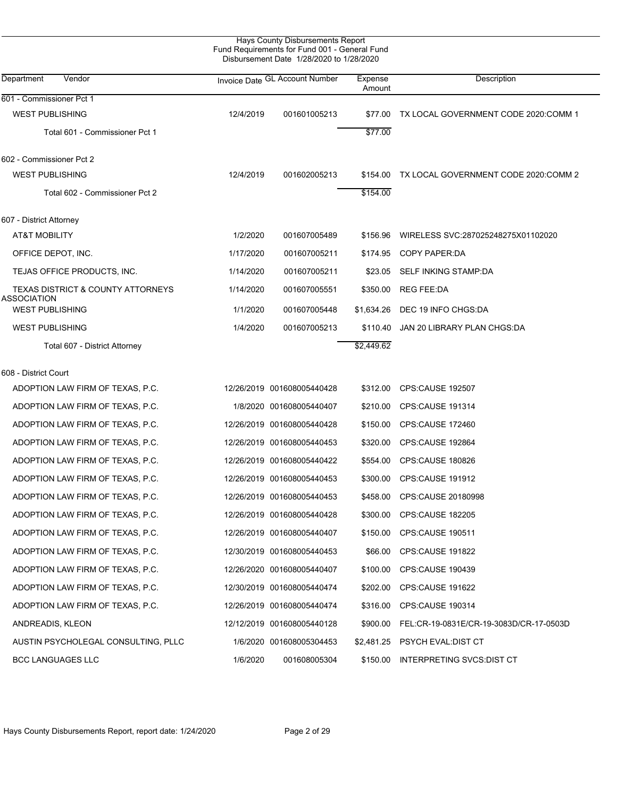| Hays County Disbursements Report              |
|-----------------------------------------------|
| Fund Requirements for Fund 001 - General Fund |
| Disbursement Date 1/28/2020 to 1/28/2020      |

L

| Department<br>Vendor                                        |           | Invoice Date GL Account Number | Expense<br>Amount | Description                                      |
|-------------------------------------------------------------|-----------|--------------------------------|-------------------|--------------------------------------------------|
| 601 - Commissioner Pct 1                                    |           |                                |                   |                                                  |
| <b>WEST PUBLISHING</b>                                      | 12/4/2019 | 001601005213                   |                   | \$77.00 TX LOCAL GOVERNMENT CODE 2020:COMM 1     |
| Total 601 - Commissioner Pct 1                              |           |                                | \$77.00           |                                                  |
| 602 - Commissioner Pct 2                                    |           |                                |                   |                                                  |
| <b>WEST PUBLISHING</b>                                      | 12/4/2019 | 001602005213                   |                   | \$154.00 TX LOCAL GOVERNMENT CODE 2020:COMM 2    |
| Total 602 - Commissioner Pct 2                              |           |                                | \$154.00          |                                                  |
| 607 - District Attorney                                     |           |                                |                   |                                                  |
| AT&T MOBILITY                                               | 1/2/2020  | 001607005489                   | \$156.96          | WIRELESS SVC:287025248275X01102020               |
| OFFICE DEPOT, INC.                                          | 1/17/2020 | 001607005211                   |                   | \$174.95 COPY PAPER:DA                           |
| TEJAS OFFICE PRODUCTS, INC.                                 | 1/14/2020 | 001607005211                   |                   | \$23.05 SELF INKING STAMP:DA                     |
| <b>TEXAS DISTRICT &amp; COUNTY ATTORNEYS</b><br>ASSOCIATION | 1/14/2020 | 001607005551                   | \$350.00          | REG FEE:DA                                       |
| <b>WEST PUBLISHING</b>                                      | 1/1/2020  | 001607005448                   |                   | \$1,634.26 DEC 19 INFO CHGS:DA                   |
| <b>WEST PUBLISHING</b>                                      | 1/4/2020  | 001607005213                   |                   | \$110.40 JAN 20 LIBRARY PLAN CHGS:DA             |
| Total 607 - District Attorney                               |           |                                | \$2,449.62        |                                                  |
| 608 - District Court                                        |           |                                |                   |                                                  |
| ADOPTION LAW FIRM OF TEXAS, P.C.                            |           | 12/26/2019 001608005440428     |                   | \$312.00 CPS:CAUSE 192507                        |
| ADOPTION LAW FIRM OF TEXAS, P.C.                            |           | 1/8/2020 001608005440407       |                   | \$210.00 CPS:CAUSE 191314                        |
| ADOPTION LAW FIRM OF TEXAS, P.C.                            |           | 12/26/2019 001608005440428     |                   | \$150.00 CPS:CAUSE 172460                        |
| ADOPTION LAW FIRM OF TEXAS, P.C.                            |           | 12/26/2019 001608005440453     | \$320.00          | CPS:CAUSE 192864                                 |
| ADOPTION LAW FIRM OF TEXAS, P.C.                            |           | 12/26/2019 001608005440422     | \$554.00          | <b>CPS:CAUSE 180826</b>                          |
| ADOPTION LAW FIRM OF TEXAS, P.C.                            |           | 12/26/2019 001608005440453     | \$300.00          | CPS:CAUSE 191912                                 |
| ADOPTION LAW FIRM OF TEXAS, P.C.                            |           | 12/26/2019 001608005440453     | \$458.00          | CPS:CAUSE 20180998                               |
| ADOPTION LAW FIRM OF TEXAS, P.C.                            |           | 12/26/2019 001608005440428     | \$300.00          | <b>CPS:CAUSE 182205</b>                          |
| ADOPTION LAW FIRM OF TEXAS, P.C.                            |           | 12/26/2019 001608005440407     |                   | \$150.00 CPS:CAUSE 190511                        |
| ADOPTION LAW FIRM OF TEXAS, P.C.                            |           | 12/30/2019 001608005440453     |                   | \$66.00 CPS:CAUSE 191822                         |
| ADOPTION LAW FIRM OF TEXAS, P.C.                            |           | 12/26/2020 001608005440407     |                   | \$100.00 CPS:CAUSE 190439                        |
| ADOPTION LAW FIRM OF TEXAS, P.C.                            |           | 12/30/2019 001608005440474     | \$202.00          | <b>CPS:CAUSE 191622</b>                          |
| ADOPTION LAW FIRM OF TEXAS, P.C.                            |           | 12/26/2019 001608005440474     |                   | \$316.00 CPS:CAUSE 190314                        |
| ANDREADIS, KLEON                                            |           | 12/12/2019 001608005440128     |                   | \$900.00 FEL:CR-19-0831E/CR-19-3083D/CR-17-0503D |
| AUSTIN PSYCHOLEGAL CONSULTING, PLLC                         |           | 1/6/2020 001608005304453       |                   | \$2,481.25 PSYCH EVAL:DIST CT                    |
| <b>BCC LANGUAGES LLC</b>                                    | 1/6/2020  | 001608005304                   |                   | \$150.00 INTERPRETING SVCS:DIST CT               |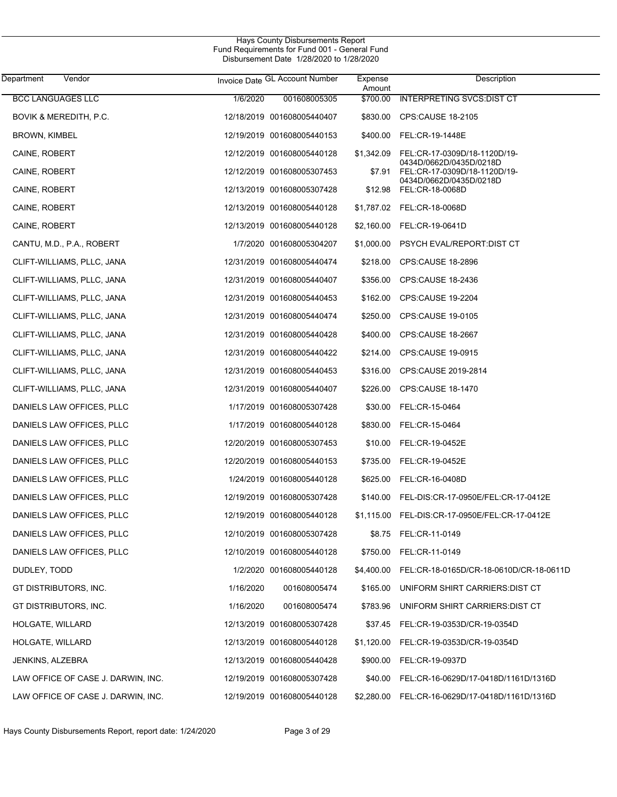| Department<br>Vendor               |           | Invoice Date GL Account Number | Expense<br>Amount | Description                                             |
|------------------------------------|-----------|--------------------------------|-------------------|---------------------------------------------------------|
| <b>BCC LANGUAGES LLC</b>           | 1/6/2020  | 001608005305                   | \$700.00          | <b>INTERPRETING SVCS:DIST CT</b>                        |
| BOVIK & MEREDITH, P.C.             |           | 12/18/2019 001608005440407     |                   | \$830.00 CPS:CAUSE 18-2105                              |
| <b>BROWN, KIMBEL</b>               |           | 12/19/2019 001608005440153     |                   | \$400.00 FEL:CR-19-1448E                                |
| CAINE, ROBERT                      |           | 12/12/2019 001608005440128     | \$1,342.09        | FEL:CR-17-0309D/18-1120D/19-                            |
| CAINE, ROBERT                      |           | 12/12/2019 001608005307453     | \$7.91            | 0434D/0662D/0435D/0218D<br>FEL:CR-17-0309D/18-1120D/19- |
| CAINE, ROBERT                      |           | 12/13/2019 001608005307428     |                   | 0434D/0662D/0435D/0218D<br>\$12.98 FEL:CR-18-0068D      |
| CAINE, ROBERT                      |           | 12/13/2019 001608005440128     |                   | \$1,787.02 FEL:CR-18-0068D                              |
| CAINE, ROBERT                      |           | 12/13/2019 001608005440128     |                   | \$2,160.00 FEL:CR-19-0641D                              |
| CANTU, M.D., P.A., ROBERT          |           | 1/7/2020 001608005304207       | \$1,000.00        | PSYCH EVAL/REPORT:DIST CT                               |
| CLIFT-WILLIAMS, PLLC, JANA         |           | 12/31/2019 001608005440474     | \$218.00          | CPS:CAUSE 18-2896                                       |
| CLIFT-WILLIAMS, PLLC, JANA         |           | 12/31/2019 001608005440407     | \$356.00          | CPS:CAUSE 18-2436                                       |
| CLIFT-WILLIAMS, PLLC, JANA         |           | 12/31/2019 001608005440453     | \$162.00          | CPS:CAUSE 19-2204                                       |
| CLIFT-WILLIAMS, PLLC, JANA         |           | 12/31/2019 001608005440474     | \$250.00          | CPS:CAUSE 19-0105                                       |
| CLIFT-WILLIAMS, PLLC, JANA         |           | 12/31/2019 001608005440428     | \$400.00          | CPS:CAUSE 18-2667                                       |
| CLIFT-WILLIAMS, PLLC, JANA         |           | 12/31/2019 001608005440422     | \$214.00          | CPS:CAUSE 19-0915                                       |
| CLIFT-WILLIAMS, PLLC, JANA         |           | 12/31/2019 001608005440453     | \$316.00          | CPS:CAUSE 2019-2814                                     |
| CLIFT-WILLIAMS, PLLC, JANA         |           | 12/31/2019 001608005440407     | \$226.00          | CPS:CAUSE 18-1470                                       |
| DANIELS LAW OFFICES, PLLC          |           | 1/17/2019 001608005307428      | \$30.00           | FEL:CR-15-0464                                          |
| DANIELS LAW OFFICES, PLLC          |           | 1/17/2019 001608005440128      | \$830.00          | FEL:CR-15-0464                                          |
| DANIELS LAW OFFICES, PLLC          |           | 12/20/2019 001608005307453     | \$10.00           | FEL:CR-19-0452E                                         |
| DANIELS LAW OFFICES, PLLC          |           | 12/20/2019 001608005440153     | \$735.00          | FEL:CR-19-0452E                                         |
| DANIELS LAW OFFICES, PLLC          |           | 1/24/2019 001608005440128      | \$625.00          | FEL:CR-16-0408D                                         |
| DANIELS LAW OFFICES, PLLC          |           | 12/19/2019 001608005307428     |                   | \$140.00 FEL-DIS:CR-17-0950E/FEL:CR-17-0412E            |
| DANIELS LAW OFFICES, PLLC          |           | 12/19/2019 001608005440128     |                   |                                                         |
| DANIELS LAW OFFICES, PLLC          |           | 12/10/2019 001608005307428     |                   | \$8.75 FEL:CR-11-0149                                   |
| DANIELS LAW OFFICES, PLLC          |           | 12/10/2019 001608005440128     | \$750.00          | FEL:CR-11-0149                                          |
| DUDLEY, TODD                       |           | 1/2/2020 001608005440128       |                   | \$4,400.00 FEL:CR-18-0165D/CR-18-0610D/CR-18-0611D      |
| GT DISTRIBUTORS, INC.              | 1/16/2020 | 001608005474                   | \$165.00          | UNIFORM SHIRT CARRIERS: DIST CT                         |
| GT DISTRIBUTORS, INC.              | 1/16/2020 | 001608005474                   | \$783.96          | UNIFORM SHIRT CARRIERS: DIST CT                         |
| HOLGATE, WILLARD                   |           | 12/13/2019 001608005307428     | \$37.45           | FEL:CR-19-0353D/CR-19-0354D                             |
| HOLGATE, WILLARD                   |           | 12/13/2019 001608005440128     | \$1,120.00        | FEL:CR-19-0353D/CR-19-0354D                             |
| JENKINS, ALZEBRA                   |           | 12/13/2019 001608005440428     | \$900.00          | FEL:CR-19-0937D                                         |
| LAW OFFICE OF CASE J. DARWIN, INC. |           | 12/19/2019 001608005307428     | \$40.00           | FEL:CR-16-0629D/17-0418D/1161D/1316D                    |
| LAW OFFICE OF CASE J. DARWIN, INC. |           | 12/19/2019 001608005440128     |                   | \$2,280.00 FEL:CR-16-0629D/17-0418D/1161D/1316D         |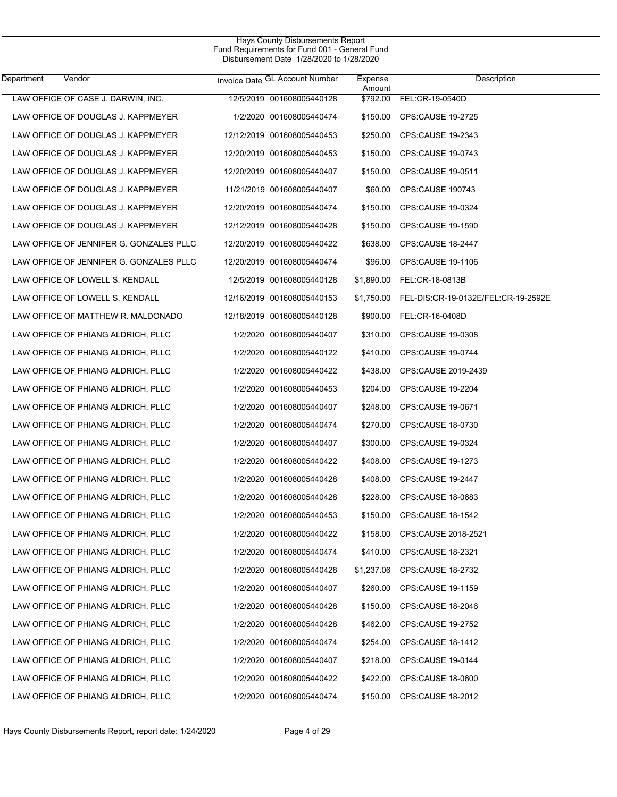| Department | Vendor                                  | Invoice Date GL Account Number | Expense<br>Amount | Description                                    |
|------------|-----------------------------------------|--------------------------------|-------------------|------------------------------------------------|
|            | LAW OFFICE OF CASE J. DARWIN, INC.      | 12/5/2019 001608005440128      |                   | \$792.00 FEL:CR-19-0540D                       |
|            | LAW OFFICE OF DOUGLAS J. KAPPMEYER      | 1/2/2020 001608005440474       |                   | \$150.00 CPS:CAUSE 19-2725                     |
|            | LAW OFFICE OF DOUGLAS J. KAPPMEYER      | 12/12/2019 001608005440453     |                   | \$250.00 CPS:CAUSE 19-2343                     |
|            | LAW OFFICE OF DOUGLAS J. KAPPMEYER      | 12/20/2019 001608005440453     |                   | \$150.00 CPS:CAUSE 19-0743                     |
|            | LAW OFFICE OF DOUGLAS J. KAPPMEYER      | 12/20/2019 001608005440407     |                   | \$150.00 CPS:CAUSE 19-0511                     |
|            | LAW OFFICE OF DOUGLAS J. KAPPMEYER      | 11/21/2019 001608005440407     |                   | \$60.00 CPS:CAUSE 190743                       |
|            | LAW OFFICE OF DOUGLAS J. KAPPMEYER      | 12/20/2019 001608005440474     |                   | \$150.00 CPS:CAUSE 19-0324                     |
|            | LAW OFFICE OF DOUGLAS J. KAPPMEYER      | 12/12/2019 001608005440428     |                   | \$150.00 CPS:CAUSE 19-1590                     |
|            | LAW OFFICE OF JENNIFER G. GONZALES PLLC | 12/20/2019 001608005440422     |                   | \$638.00 CPS:CAUSE 18-2447                     |
|            | LAW OFFICE OF JENNIFER G. GONZALES PLLC | 12/20/2019 001608005440474     |                   | \$96.00 CPS:CAUSE 19-1106                      |
|            | LAW OFFICE OF LOWELL S. KENDALL         | 12/5/2019 001608005440128      |                   | \$1,890.00 FEL:CR-18-0813B                     |
|            | LAW OFFICE OF LOWELL S. KENDALL         | 12/16/2019 001608005440153     |                   | \$1,750.00 FEL-DIS:CR-19-0132E/FEL:CR-19-2592E |
|            | LAW OFFICE OF MATTHEW R. MALDONADO      | 12/18/2019 001608005440128     |                   | \$900.00 FEL:CR-16-0408D                       |
|            | LAW OFFICE OF PHIANG ALDRICH, PLLC      | 1/2/2020 001608005440407       |                   | \$310.00 CPS:CAUSE 19-0308                     |
|            | LAW OFFICE OF PHIANG ALDRICH, PLLC      | 1/2/2020 001608005440122       |                   | \$410.00 CPS:CAUSE 19-0744                     |
|            | LAW OFFICE OF PHIANG ALDRICH, PLLC      | 1/2/2020 001608005440422       |                   | \$438.00 CPS:CAUSE 2019-2439                   |
|            | LAW OFFICE OF PHIANG ALDRICH, PLLC      | 1/2/2020 001608005440453       |                   | \$204.00 CPS:CAUSE 19-2204                     |
|            | LAW OFFICE OF PHIANG ALDRICH, PLLC      | 1/2/2020 001608005440407       | \$248.00          | CPS:CAUSE 19-0671                              |
|            | LAW OFFICE OF PHIANG ALDRICH, PLLC      | 1/2/2020 001608005440474       |                   | \$270.00 CPS:CAUSE 18-0730                     |
|            | LAW OFFICE OF PHIANG ALDRICH, PLLC      | 1/2/2020 001608005440407       | \$300.00          | CPS:CAUSE 19-0324                              |
|            | LAW OFFICE OF PHIANG ALDRICH, PLLC      | 1/2/2020 001608005440422       |                   | \$408.00 CPS:CAUSE 19-1273                     |
|            | LAW OFFICE OF PHIANG ALDRICH, PLLC      | 1/2/2020 001608005440428       |                   | \$408.00 CPS:CAUSE 19-2447                     |
|            | LAW OFFICE OF PHIANG ALDRICH, PLLC      | 1/2/2020 001608005440428       |                   | \$228.00 CPS:CAUSE 18-0683                     |
|            | LAW OFFICE OF PHIANG ALDRICH, PLLC      | 1/2/2020 001608005440453       | \$150.00          | <b>CPS:CAUSE 18-1542</b>                       |
|            | LAW OFFICE OF PHIANG ALDRICH, PLLC      | 1/2/2020 001608005440422       | \$158.00          | CPS:CAUSE 2018-2521                            |
|            | LAW OFFICE OF PHIANG ALDRICH, PLLC      | 1/2/2020 001608005440474       | \$410.00          | CPS:CAUSE 18-2321                              |
|            | LAW OFFICE OF PHIANG ALDRICH, PLLC      | 1/2/2020 001608005440428       | \$1,237.06        | CPS:CAUSE 18-2732                              |
|            | LAW OFFICE OF PHIANG ALDRICH, PLLC      | 1/2/2020 001608005440407       | \$260.00          | CPS:CAUSE 19-1159                              |
|            | LAW OFFICE OF PHIANG ALDRICH, PLLC      | 1/2/2020 001608005440428       | \$150.00          | CPS:CAUSE 18-2046                              |
|            | LAW OFFICE OF PHIANG ALDRICH, PLLC      | 1/2/2020 001608005440428       | \$462.00          | CPS:CAUSE 19-2752                              |
|            | LAW OFFICE OF PHIANG ALDRICH, PLLC      | 1/2/2020 001608005440474       | \$254.00          | CPS:CAUSE 18-1412                              |
|            | LAW OFFICE OF PHIANG ALDRICH, PLLC      | 1/2/2020 001608005440407       | \$218.00          | CPS:CAUSE 19-0144                              |
|            | LAW OFFICE OF PHIANG ALDRICH, PLLC      | 1/2/2020 001608005440422       | \$422.00          | CPS:CAUSE 18-0600                              |
|            | LAW OFFICE OF PHIANG ALDRICH, PLLC      | 1/2/2020 001608005440474       | \$150.00          | CPS:CAUSE 18-2012                              |
|            |                                         |                                |                   |                                                |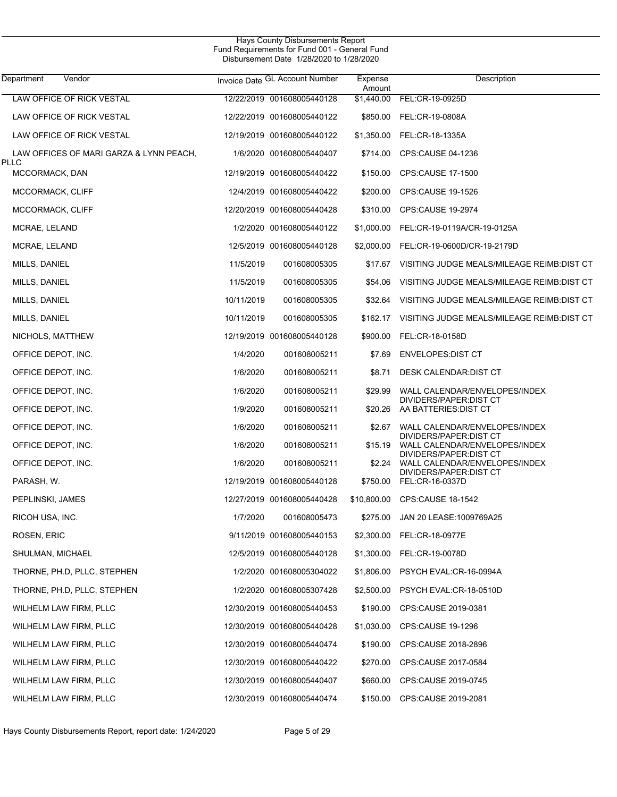| Department<br>Vendor                            |            | Invoice Date GL Account Number | Expense<br>Amount | Description                                              |
|-------------------------------------------------|------------|--------------------------------|-------------------|----------------------------------------------------------|
| <b>LAW OFFICE OF RICK VESTAL</b>                |            | 12/22/2019 001608005440128     | \$1,440.00        | FEL:CR-19-0925D                                          |
| LAW OFFICE OF RICK VESTAL                       |            | 12/22/2019 001608005440122     | \$850.00          | FEL:CR-19-0808A                                          |
| LAW OFFICE OF RICK VESTAL                       |            | 12/19/2019 001608005440122     | \$1,350.00        | FEL:CR-18-1335A                                          |
| LAW OFFICES OF MARI GARZA & LYNN PEACH,<br>PLLC |            | 1/6/2020 001608005440407       | \$714.00          | CPS:CAUSE 04-1236                                        |
| MCCORMACK, DAN                                  |            | 12/19/2019 001608005440422     | \$150.00          | CPS:CAUSE 17-1500                                        |
| MCCORMACK, CLIFF                                |            | 12/4/2019 001608005440422      | \$200.00          | CPS:CAUSE 19-1526                                        |
| MCCORMACK, CLIFF                                |            | 12/20/2019 001608005440428     | \$310.00          | CPS:CAUSE 19-2974                                        |
| MCRAE, LELAND                                   |            | 1/2/2020 001608005440122       | \$1,000.00        | FEL:CR-19-0119A/CR-19-0125A                              |
| MCRAE, LELAND                                   |            | 12/5/2019 001608005440128      | \$2,000.00        | FEL:CR-19-0600D/CR-19-2179D                              |
| MILLS, DANIEL                                   | 11/5/2019  | 001608005305                   | \$17.67           | VISITING JUDGE MEALS/MILEAGE REIMB:DIST CT               |
| MILLS, DANIEL                                   | 11/5/2019  | 001608005305                   | \$54.06           | VISITING JUDGE MEALS/MILEAGE REIMB:DIST CT               |
| MILLS, DANIEL                                   | 10/11/2019 | 001608005305                   | \$32.64           | VISITING JUDGE MEALS/MILEAGE REIMB:DIST CT               |
| MILLS, DANIEL                                   | 10/11/2019 | 001608005305                   |                   | \$162.17 VISITING JUDGE MEALS/MILEAGE REIMB:DIST CT      |
| NICHOLS, MATTHEW                                |            | 12/19/2019 001608005440128     | \$900.00          | FEL:CR-18-0158D                                          |
| OFFICE DEPOT, INC.                              | 1/4/2020   | 001608005211                   | \$7.69            | <b>ENVELOPES: DIST CT</b>                                |
| OFFICE DEPOT, INC.                              | 1/6/2020   | 001608005211                   | \$8.71            | DESK CALENDAR: DIST CT                                   |
| OFFICE DEPOT, INC.                              | 1/6/2020   | 001608005211                   | \$29.99           | WALL CALENDAR/ENVELOPES/INDEX<br>DIVIDERS/PAPER:DIST CT  |
| OFFICE DEPOT, INC.                              | 1/9/2020   | 001608005211                   | \$20.26           | AA BATTERIES: DIST CT                                    |
| OFFICE DEPOT, INC.                              | 1/6/2020   | 001608005211                   | \$2.67            | WALL CALENDAR/ENVELOPES/INDEX<br>DIVIDERS/PAPER: DIST CT |
| OFFICE DEPOT, INC.                              | 1/6/2020   | 001608005211                   | \$15.19           | WALL CALENDAR/ENVELOPES/INDEX<br>DIVIDERS/PAPER:DIST CT  |
| OFFICE DEPOT, INC.                              | 1/6/2020   | 001608005211                   | \$2.24            | WALL CALENDAR/ENVELOPES/INDEX<br>DIVIDERS/PAPER: DIST CT |
| PARASH, W.                                      |            | 12/19/2019 001608005440128     | \$750.00          | FEL:CR-16-0337D                                          |
| PEPLINSKI, JAMES                                |            | 12/27/2019 001608005440428     |                   | \$10,800.00 CPS:CAUSE 18-1542                            |
| RICOH USA, INC.                                 | 1/7/2020   | 001608005473                   | \$275.00          | JAN 20 LEASE: 1009769A25                                 |
| ROSEN, ERIC                                     |            | 9/11/2019 001608005440153      |                   | \$2,300.00 FEL:CR-18-0977E                               |
| SHULMAN, MICHAEL                                |            | 12/5/2019 001608005440128      | \$1,300.00        | FEL:CR-19-0078D                                          |
| THORNE, PH.D, PLLC, STEPHEN                     |            | 1/2/2020 001608005304022       | \$1,806.00        | PSYCH EVAL:CR-16-0994A                                   |
| THORNE, PH.D, PLLC, STEPHEN                     |            | 1/2/2020 001608005307428       | \$2,500.00        | PSYCH EVAL:CR-18-0510D                                   |
| WILHELM LAW FIRM, PLLC                          |            | 12/30/2019 001608005440453     | \$190.00          | CPS:CAUSE 2019-0381                                      |
| WILHELM LAW FIRM, PLLC                          |            | 12/30/2019 001608005440428     | \$1,030.00        | CPS:CAUSE 19-1296                                        |
| WILHELM LAW FIRM, PLLC                          |            | 12/30/2019 001608005440474     | \$190.00          | CPS:CAUSE 2018-2896                                      |
| WILHELM LAW FIRM, PLLC                          |            | 12/30/2019 001608005440422     | \$270.00          | CPS:CAUSE 2017-0584                                      |
| WILHELM LAW FIRM, PLLC                          |            | 12/30/2019 001608005440407     | \$660.00          | CPS:CAUSE 2019-0745                                      |
| WILHELM LAW FIRM, PLLC                          |            | 12/30/2019 001608005440474     |                   | \$150.00 CPS:CAUSE 2019-2081                             |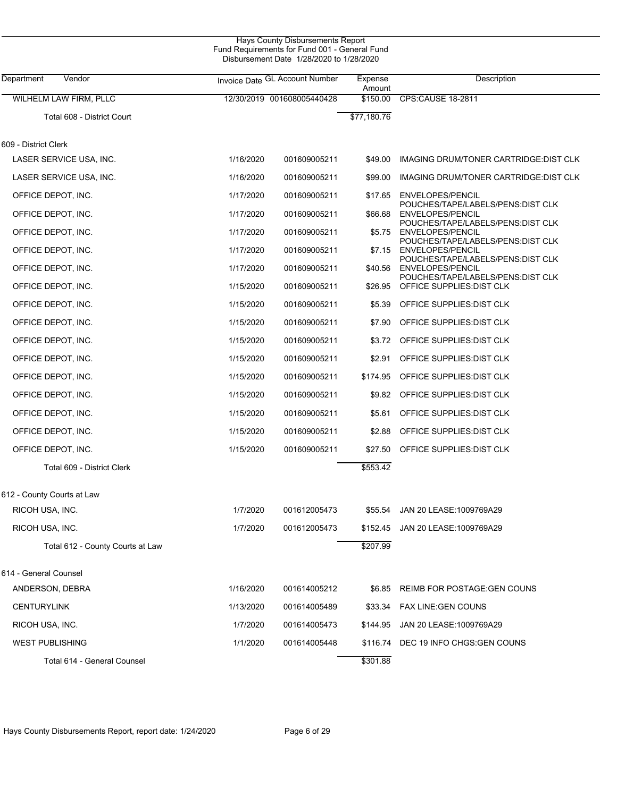|                                  |           | Hays County Disbursements Report<br>Fund Requirements for Fund 001 - General Fund<br>Disbursement Date 1/28/2020 to 1/28/2020 |                   |                                                                 |  |
|----------------------------------|-----------|-------------------------------------------------------------------------------------------------------------------------------|-------------------|-----------------------------------------------------------------|--|
| Department<br>Vendor             |           | Invoice Date GL Account Number                                                                                                | Expense<br>Amount | Description                                                     |  |
| <b>WILHELM LAW FIRM, PLLC</b>    |           | 12/30/2019 001608005440428                                                                                                    | \$150.00          | <b>CPS:CAUSE 18-2811</b>                                        |  |
| Total 608 - District Court       |           |                                                                                                                               | \$77,180.76       |                                                                 |  |
| 609 - District Clerk             |           |                                                                                                                               |                   |                                                                 |  |
| LASER SERVICE USA, INC.          | 1/16/2020 | 001609005211                                                                                                                  | \$49.00           | IMAGING DRUM/TONER CARTRIDGE: DIST CLK                          |  |
| LASER SERVICE USA, INC.          | 1/16/2020 | 001609005211                                                                                                                  | \$99.00           | IMAGING DRUM/TONER CARTRIDGE: DIST CLK                          |  |
| OFFICE DEPOT, INC.               | 1/17/2020 | 001609005211                                                                                                                  | \$17.65           | ENVELOPES/PENCIL                                                |  |
| OFFICE DEPOT, INC.               | 1/17/2020 | 001609005211                                                                                                                  | \$66.68           | POUCHES/TAPE/LABELS/PENS:DIST CLK<br>ENVELOPES/PENCIL           |  |
| OFFICE DEPOT, INC.               | 1/17/2020 | 001609005211                                                                                                                  | \$5.75            | POUCHES/TAPE/LABELS/PENS:DIST CLK<br>ENVELOPES/PENCIL           |  |
| OFFICE DEPOT, INC.               | 1/17/2020 | 001609005211                                                                                                                  | \$7.15            | POUCHES/TAPE/LABELS/PENS: DIST CLK<br><b>ENVELOPES/PENCIL</b>   |  |
| OFFICE DEPOT, INC.               | 1/17/2020 | 001609005211                                                                                                                  | \$40.56           | POUCHES/TAPE/LABELS/PENS:DIST CLK<br>ENVELOPES/PENCIL           |  |
| OFFICE DEPOT, INC.               | 1/15/2020 | 001609005211                                                                                                                  | \$26.95           | POUCHES/TAPE/LABELS/PENS: DIST CLK<br>OFFICE SUPPLIES: DIST CLK |  |
| OFFICE DEPOT, INC.               | 1/15/2020 | 001609005211                                                                                                                  | \$5.39            | OFFICE SUPPLIES: DIST CLK                                       |  |
| OFFICE DEPOT, INC.               | 1/15/2020 | 001609005211                                                                                                                  | \$7.90            | OFFICE SUPPLIES: DIST CLK                                       |  |
| OFFICE DEPOT, INC.               | 1/15/2020 | 001609005211                                                                                                                  | \$3.72            | OFFICE SUPPLIES: DIST CLK                                       |  |
| OFFICE DEPOT, INC.               | 1/15/2020 | 001609005211                                                                                                                  | \$2.91            | OFFICE SUPPLIES: DIST CLK                                       |  |
| OFFICE DEPOT, INC.               | 1/15/2020 | 001609005211                                                                                                                  | \$174.95          | OFFICE SUPPLIES: DIST CLK                                       |  |
| OFFICE DEPOT, INC.               | 1/15/2020 | 001609005211                                                                                                                  | \$9.82            | OFFICE SUPPLIES: DIST CLK                                       |  |
| OFFICE DEPOT, INC.               | 1/15/2020 | 001609005211                                                                                                                  | \$5.61            | OFFICE SUPPLIES: DIST CLK                                       |  |
| OFFICE DEPOT, INC.               | 1/15/2020 | 001609005211                                                                                                                  | \$2.88            | OFFICE SUPPLIES: DIST CLK                                       |  |
| OFFICE DEPOT, INC.               | 1/15/2020 | 001609005211                                                                                                                  | \$27.50           | OFFICE SUPPLIES: DIST CLK                                       |  |
| Total 609 - District Clerk       |           |                                                                                                                               | \$553.42          |                                                                 |  |
| 612 - County Courts at Law       |           |                                                                                                                               |                   |                                                                 |  |
| RICOH USA, INC.                  | 1/7/2020  | 001612005473                                                                                                                  | \$55.54           | JAN 20 LEASE: 1009769A29                                        |  |
| RICOH USA, INC.                  | 1/7/2020  | 001612005473                                                                                                                  | \$152.45          | JAN 20 LEASE: 1009769A29                                        |  |
| Total 612 - County Courts at Law |           |                                                                                                                               | \$207.99          |                                                                 |  |
| 614 - General Counsel            |           |                                                                                                                               |                   |                                                                 |  |
| ANDERSON, DEBRA                  | 1/16/2020 | 001614005212                                                                                                                  | \$6.85            | REIMB FOR POSTAGE: GEN COUNS                                    |  |
| <b>CENTURYLINK</b>               | 1/13/2020 | 001614005489                                                                                                                  | \$33.34           | <b>FAX LINE:GEN COUNS</b>                                       |  |
| RICOH USA, INC.                  | 1/7/2020  | 001614005473                                                                                                                  | \$144.95          | JAN 20 LEASE: 1009769A29                                        |  |
| WEST PUBLISHING                  | 1/1/2020  | 001614005448                                                                                                                  |                   | \$116.74 DEC 19 INFO CHGS:GEN COUNS                             |  |
| Total 614 - General Counsel      |           |                                                                                                                               | \$301.88          |                                                                 |  |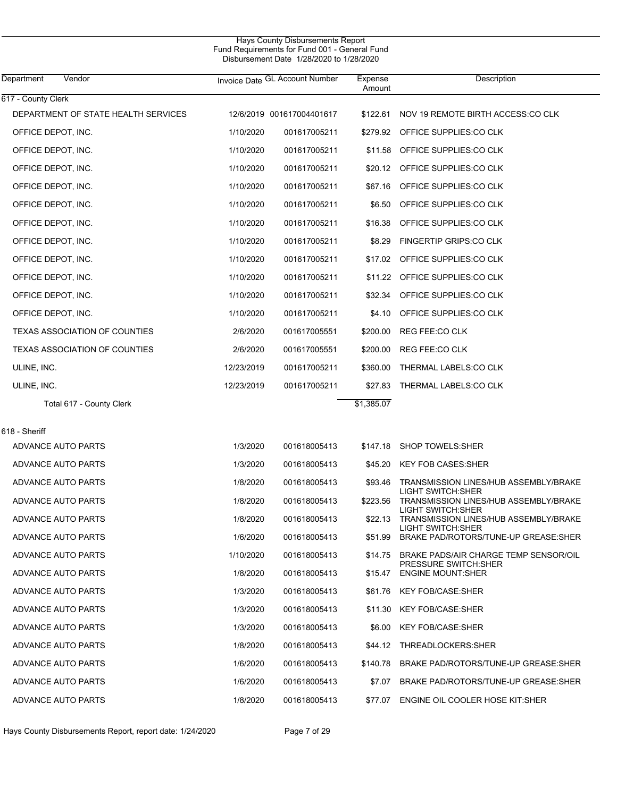| Department<br>Vendor                |            | Invoice Date GL Account Number | Expense<br>Amount | Description                                                |
|-------------------------------------|------------|--------------------------------|-------------------|------------------------------------------------------------|
| 617 - County Clerk                  |            |                                |                   |                                                            |
| DEPARTMENT OF STATE HEALTH SERVICES |            | 12/6/2019 001617004401617      | \$122.61          | NOV 19 REMOTE BIRTH ACCESS:CO CLK                          |
| OFFICE DEPOT, INC.                  | 1/10/2020  | 001617005211                   |                   | \$279.92 OFFICE SUPPLIES:CO CLK                            |
| OFFICE DEPOT, INC.                  | 1/10/2020  | 001617005211                   |                   | \$11.58 OFFICE SUPPLIES:CO CLK                             |
| OFFICE DEPOT, INC.                  | 1/10/2020  | 001617005211                   |                   | \$20.12 OFFICE SUPPLIES:CO CLK                             |
| OFFICE DEPOT, INC.                  | 1/10/2020  | 001617005211                   | \$67.16           | OFFICE SUPPLIES:CO CLK                                     |
| OFFICE DEPOT, INC.                  | 1/10/2020  | 001617005211                   | \$6.50            | OFFICE SUPPLIES:CO CLK                                     |
| OFFICE DEPOT, INC.                  | 1/10/2020  | 001617005211                   | \$16.38           | OFFICE SUPPLIES:CO CLK                                     |
| OFFICE DEPOT, INC.                  | 1/10/2020  | 001617005211                   | \$8.29            | FINGERTIP GRIPS:CO CLK                                     |
| OFFICE DEPOT, INC.                  | 1/10/2020  | 001617005211                   | \$17.02           | OFFICE SUPPLIES:CO CLK                                     |
| OFFICE DEPOT, INC.                  | 1/10/2020  | 001617005211                   |                   | \$11.22 OFFICE SUPPLIES:CO CLK                             |
| OFFICE DEPOT, INC.                  | 1/10/2020  | 001617005211                   | \$32.34           | OFFICE SUPPLIES:CO CLK                                     |
| OFFICE DEPOT, INC.                  | 1/10/2020  | 001617005211                   | \$4.10            | OFFICE SUPPLIES:CO CLK                                     |
| TEXAS ASSOCIATION OF COUNTIES       | 2/6/2020   | 001617005551                   | \$200.00          | REG FEE:CO CLK                                             |
| TEXAS ASSOCIATION OF COUNTIES       | 2/6/2020   | 001617005551                   | \$200.00          | REG FEE:CO CLK                                             |
| ULINE, INC.                         | 12/23/2019 | 001617005211                   | \$360.00          | THERMAL LABELS:CO CLK                                      |
| ULINE, INC.                         | 12/23/2019 | 001617005211                   | \$27.83           | THERMAL LABELS:CO CLK                                      |
| Total 617 - County Clerk            |            |                                | \$1,385.07        |                                                            |
| 618 - Sheriff                       |            |                                |                   |                                                            |
| ADVANCE AUTO PARTS                  | 1/3/2020   | 001618005413                   |                   | \$147.18 SHOP TOWELS:SHER                                  |
| ADVANCE AUTO PARTS                  | 1/3/2020   | 001618005413                   | \$45.20           | <b>KEY FOB CASES:SHER</b>                                  |
| ADVANCE AUTO PARTS                  | 1/8/2020   | 001618005413                   | \$93.46           | TRANSMISSION LINES/HUB ASSEMBLY/BRAKE                      |
| ADVANCE AUTO PARTS                  | 1/8/2020   | 001618005413                   | \$223.56          | LIGHT SWITCH:SHER<br>TRANSMISSION LINES/HUB ASSEMBLY/BRAKE |
| ADVANCE AUTO PARTS                  | 1/8/2020   | 001618005413                   | \$22.13           | LIGHT SWITCH:SHER<br>TRANSMISSION LINES/HUB ASSEMBLY/BRAKE |
| ADVANCE AUTO PARTS                  | 1/6/2020   | 001618005413                   | \$51.99           | LIGHT SWITCH:SHER<br>BRAKE PAD/ROTORS/TUNE-UP GREASE:SHER  |
| ADVANCE AUTO PARTS                  | 1/10/2020  | 001618005413                   | \$14.75           | BRAKE PADS/AIR CHARGE TEMP SENSOR/OIL                      |
| ADVANCE AUTO PARTS                  | 1/8/2020   | 001618005413                   | \$15.47           | PRESSURE SWITCH:SHER<br><b>ENGINE MOUNT:SHER</b>           |
| ADVANCE AUTO PARTS                  | 1/3/2020   | 001618005413                   | \$61.76           | <b>KEY FOB/CASE:SHER</b>                                   |
| ADVANCE AUTO PARTS                  | 1/3/2020   | 001618005413                   | \$11.30           | <b>KEY FOB/CASE:SHER</b>                                   |
| ADVANCE AUTO PARTS                  | 1/3/2020   | 001618005413                   | \$6.00            | <b>KEY FOB/CASE:SHER</b>                                   |
| ADVANCE AUTO PARTS                  | 1/8/2020   | 001618005413                   | \$44.12           | THREADLOCKERS:SHER                                         |
| ADVANCE AUTO PARTS                  | 1/6/2020   | 001618005413                   | \$140.78          | BRAKE PAD/ROTORS/TUNE-UP GREASE:SHER                       |
| ADVANCE AUTO PARTS                  | 1/6/2020   | 001618005413                   | \$7.07            | BRAKE PAD/ROTORS/TUNE-UP GREASE:SHER                       |
| ADVANCE AUTO PARTS                  | 1/8/2020   | 001618005413                   | \$77.07           | ENGINE OIL COOLER HOSE KIT:SHER                            |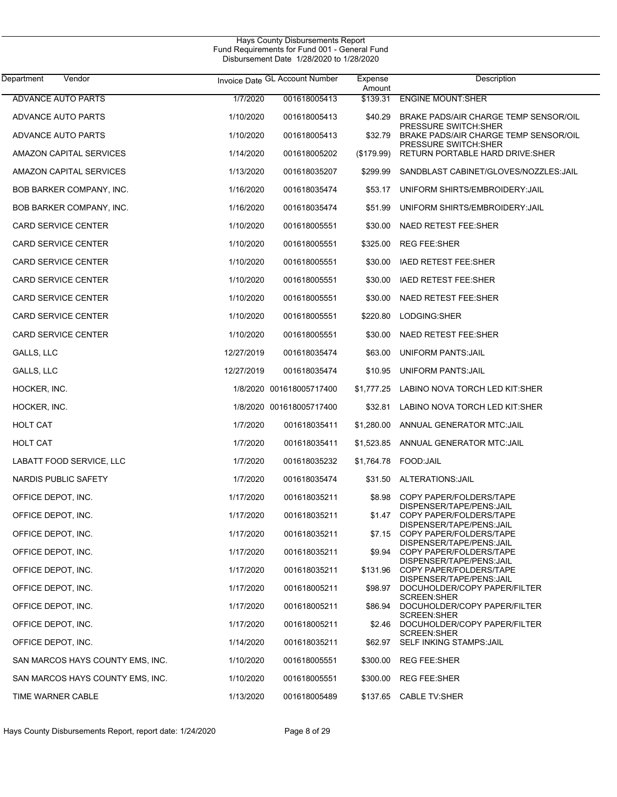L

| Vendor<br>Department             |            | Invoice Date GL Account Number | Expense<br>Amount | Description                                                          |
|----------------------------------|------------|--------------------------------|-------------------|----------------------------------------------------------------------|
| <b>ADVANCE AUTO PARTS</b>        | 1/7/2020   | 001618005413                   | \$139.31          | <b>ENGINE MOUNT:SHER</b>                                             |
| ADVANCE AUTO PARTS               | 1/10/2020  | 001618005413                   | \$40.29           | BRAKE PADS/AIR CHARGE TEMP SENSOR/OIL                                |
| ADVANCE AUTO PARTS               | 1/10/2020  | 001618005413                   | \$32.79           | <b>PRESSURE SWITCH:SHER</b><br>BRAKE PADS/AIR CHARGE TEMP SENSOR/OIL |
| AMAZON CAPITAL SERVICES          | 1/14/2020  | 001618005202                   | $(\$179.99)$      | <b>PRESSURE SWITCH:SHER</b><br>RETURN PORTABLE HARD DRIVE: SHER      |
| <b>AMAZON CAPITAL SERVICES</b>   | 1/13/2020  | 001618035207                   | \$299.99          | SANDBLAST CABINET/GLOVES/NOZZLES: JAIL                               |
| BOB BARKER COMPANY, INC.         | 1/16/2020  | 001618035474                   | \$53.17           | UNIFORM SHIRTS/EMBROIDERY: JAIL                                      |
| <b>BOB BARKER COMPANY, INC.</b>  | 1/16/2020  | 001618035474                   | \$51.99           | UNIFORM SHIRTS/EMBROIDERY: JAIL                                      |
| <b>CARD SERVICE CENTER</b>       | 1/10/2020  | 001618005551                   | \$30.00           | NAED RETEST FEE:SHER                                                 |
| <b>CARD SERVICE CENTER</b>       | 1/10/2020  | 001618005551                   | \$325.00          | <b>REG FEE:SHER</b>                                                  |
| <b>CARD SERVICE CENTER</b>       | 1/10/2020  | 001618005551                   | \$30.00           | IAED RETEST FEE:SHER                                                 |
| <b>CARD SERVICE CENTER</b>       | 1/10/2020  | 001618005551                   | \$30.00           | IAED RETEST FEE:SHER                                                 |
| <b>CARD SERVICE CENTER</b>       | 1/10/2020  | 001618005551                   | \$30.00           | <b>NAED RETEST FEE:SHER</b>                                          |
| <b>CARD SERVICE CENTER</b>       | 1/10/2020  | 001618005551                   | \$220.80          | LODGING:SHER                                                         |
| <b>CARD SERVICE CENTER</b>       | 1/10/2020  | 001618005551                   | \$30.00           | NAED RETEST FEE:SHER                                                 |
| GALLS, LLC                       | 12/27/2019 | 001618035474                   | \$63.00           | <b>UNIFORM PANTS: JAIL</b>                                           |
| GALLS, LLC                       | 12/27/2019 | 001618035474                   | \$10.95           | <b>UNIFORM PANTS: JAIL</b>                                           |
| HOCKER, INC.                     |            | 1/8/2020 001618005717400       | \$1,777.25        | LABINO NOVA TORCH LED KIT:SHER                                       |
| HOCKER, INC.                     |            | 1/8/2020 001618005717400       | \$32.81           | LABINO NOVA TORCH LED KIT:SHER                                       |
| <b>HOLT CAT</b>                  | 1/7/2020   | 001618035411                   | \$1,280.00        | ANNUAL GENERATOR MTC: JAIL                                           |
| <b>HOLT CAT</b>                  | 1/7/2020   | 001618035411                   | \$1,523.85        | ANNUAL GENERATOR MTC: JAIL                                           |
| LABATT FOOD SERVICE, LLC         | 1/7/2020   | 001618035232                   | \$1,764.78        | FOOD:JAIL                                                            |
| NARDIS PUBLIC SAFETY             | 1/7/2020   | 001618035474                   |                   | \$31.50 ALTERATIONS: JAIL                                            |
| OFFICE DEPOT, INC.               | 1/17/2020  | 001618035211                   | \$8.98            | COPY PAPER/FOLDERS/TAPE<br>DISPENSER/TAPE/PENS: JAIL                 |
| OFFICE DEPOT, INC.               | 1/17/2020  | 001618035211                   | \$1.47            | COPY PAPER/FOLDERS/TAPE<br>DISPENSER/TAPE/PENS:JAIL                  |
| OFFICE DEPOT, INC.               | 1/17/2020  | 001618035211                   |                   | \$7.15 COPY PAPER/FOLDERS/TAPE<br>DISPENSER/TAPE/PENS: JAIL          |
| OFFICE DEPOT, INC.               | 1/17/2020  | 001618035211                   |                   | \$9.94 COPY PAPER/FOLDERS/TAPE<br>DISPENSER/TAPE/PENS: JAIL          |
| OFFICE DEPOT, INC.               | 1/17/2020  | 001618035211                   | \$131.96          | COPY PAPER/FOLDERS/TAPE<br>DISPENSER/TAPE/PENS:JAIL                  |
| OFFICE DEPOT, INC.               | 1/17/2020  | 001618005211                   | \$98.97           | DOCUHOLDER/COPY PAPER/FILTER<br>SCREEN: SHER                         |
| OFFICE DEPOT, INC.               | 1/17/2020  | 001618005211                   | \$86.94           | DOCUHOLDER/COPY PAPER/FILTER<br>SCREEN: SHER                         |
| OFFICE DEPOT, INC.               | 1/17/2020  | 001618005211                   | \$2.46            | DOCUHOLDER/COPY PAPER/FILTER<br>SCREEN: SHER                         |
| OFFICE DEPOT, INC.               | 1/14/2020  | 001618035211                   | \$62.97           | SELF INKING STAMPS: JAIL                                             |
| SAN MARCOS HAYS COUNTY EMS, INC. | 1/10/2020  | 001618005551                   | \$300.00          | <b>REG FEE:SHER</b>                                                  |
| SAN MARCOS HAYS COUNTY EMS, INC. | 1/10/2020  | 001618005551                   | \$300.00          | <b>REG FEE:SHER</b>                                                  |
| TIME WARNER CABLE                | 1/13/2020  | 001618005489                   |                   | \$137.65 CABLE TV:SHER                                               |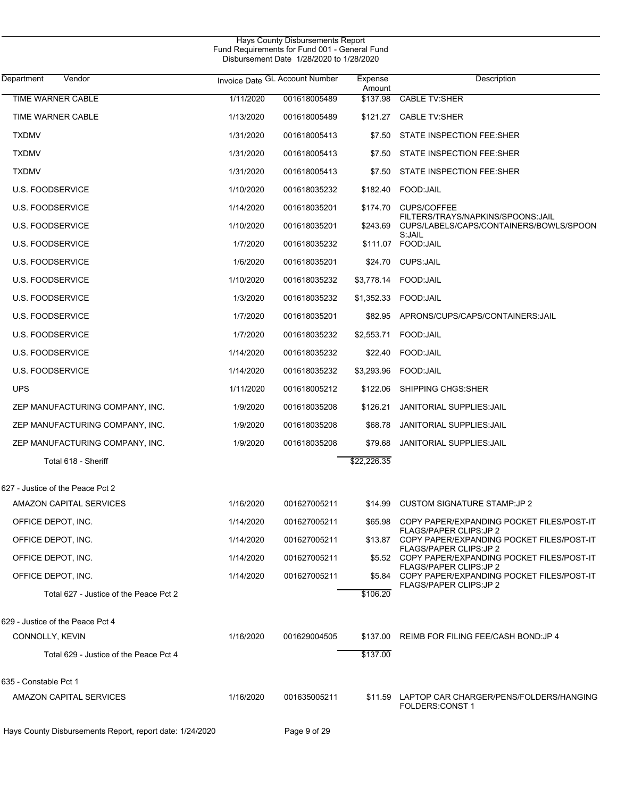|                                                          |           | Fund Requirements for Fund 001 - General Fund<br>Disbursement Date 1/28/2020 to 1/28/2020 |                   |                                                                              |
|----------------------------------------------------------|-----------|-------------------------------------------------------------------------------------------|-------------------|------------------------------------------------------------------------------|
| Department<br>Vendor                                     |           | Invoice Date GL Account Number                                                            | Expense<br>Amount | Description                                                                  |
| <b>TIME WARNER CABLE</b>                                 | 1/11/2020 | 001618005489                                                                              | \$137.98          | <b>CABLE TV:SHER</b>                                                         |
| TIME WARNER CABLE                                        | 1/13/2020 | 001618005489                                                                              | \$121.27          | <b>CABLE TV:SHER</b>                                                         |
| <b>TXDMV</b>                                             | 1/31/2020 | 001618005413                                                                              | \$7.50            | STATE INSPECTION FEE:SHER                                                    |
| <b>TXDMV</b>                                             | 1/31/2020 | 001618005413                                                                              | \$7.50            | <b>STATE INSPECTION FEE:SHER</b>                                             |
| <b>TXDMV</b>                                             | 1/31/2020 | 001618005413                                                                              | \$7.50            | STATE INSPECTION FEE:SHER                                                    |
| <b>U.S. FOODSERVICE</b>                                  | 1/10/2020 | 001618035232                                                                              | \$182.40          | FOOD:JAIL                                                                    |
| <b>U.S. FOODSERVICE</b>                                  | 1/14/2020 | 001618035201                                                                              | \$174.70          | <b>CUPS/COFFEE</b>                                                           |
| <b>U.S. FOODSERVICE</b>                                  | 1/10/2020 | 001618035201                                                                              | \$243.69          | FILTERS/TRAYS/NAPKINS/SPOONS:JAIL<br>CUPS/LABELS/CAPS/CONTAINERS/BOWLS/SPOON |
| <b>U.S. FOODSERVICE</b>                                  | 1/7/2020  | 001618035232                                                                              | \$111.07          | S:JAIL<br>FOOD:JAIL                                                          |
| <b>U.S. FOODSERVICE</b>                                  | 1/6/2020  | 001618035201                                                                              | \$24.70           | <b>CUPS:JAIL</b>                                                             |
| <b>U.S. FOODSERVICE</b>                                  | 1/10/2020 | 001618035232                                                                              | \$3,778.14        | FOOD:JAIL                                                                    |
| <b>U.S. FOODSERVICE</b>                                  | 1/3/2020  | 001618035232                                                                              | \$1,352.33        | FOOD: JAIL                                                                   |
| <b>U.S. FOODSERVICE</b>                                  | 1/7/2020  | 001618035201                                                                              | \$82.95           | APRONS/CUPS/CAPS/CONTAINERS: JAIL                                            |
| <b>U.S. FOODSERVICE</b>                                  | 1/7/2020  | 001618035232                                                                              | \$2,553.71        | FOOD: JAIL                                                                   |
| <b>U.S. FOODSERVICE</b>                                  | 1/14/2020 | 001618035232                                                                              | \$22.40           | FOOD:JAIL                                                                    |
| <b>U.S. FOODSERVICE</b>                                  | 1/14/2020 | 001618035232                                                                              | \$3,293.96        | FOOD: JAIL                                                                   |
| <b>UPS</b>                                               | 1/11/2020 | 001618005212                                                                              | \$122.06          | SHIPPING CHGS: SHER                                                          |
| ZEP MANUFACTURING COMPANY, INC.                          | 1/9/2020  | 001618035208                                                                              | \$126.21          | <b>JANITORIAL SUPPLIES: JAIL</b>                                             |
| ZEP MANUFACTURING COMPANY, INC.                          | 1/9/2020  | 001618035208                                                                              | \$68.78           | <b>JANITORIAL SUPPLIES: JAIL</b>                                             |
| ZEP MANUFACTURING COMPANY, INC.                          | 1/9/2020  | 001618035208                                                                              | \$79.68           | <b>JANITORIAL SUPPLIES: JAIL</b>                                             |
| Total 618 - Sheriff                                      |           |                                                                                           | \$22,226.35       |                                                                              |
| 627 - Justice of the Peace Pct 2                         |           |                                                                                           |                   |                                                                              |
| AMAZON CAPITAL SERVICES                                  | 1/16/2020 | 001627005211                                                                              | \$14.99           | <b>CUSTOM SIGNATURE STAMP:JP 2</b>                                           |
| OFFICE DEPOT, INC.                                       | 1/14/2020 | 001627005211                                                                              | \$65.98           | COPY PAPER/EXPANDING POCKET FILES/POST-IT                                    |
| OFFICE DEPOT, INC.                                       | 1/14/2020 | 001627005211                                                                              | \$13.87           | <b>FLAGS/PAPER CLIPS:JP2</b><br>COPY PAPER/EXPANDING POCKET FILES/POST-IT    |
| OFFICE DEPOT, INC.                                       | 1/14/2020 | 001627005211                                                                              | \$5.52            | <b>FLAGS/PAPER CLIPS:JP2</b><br>COPY PAPER/EXPANDING POCKET FILES/POST-IT    |
| OFFICE DEPOT, INC.                                       | 1/14/2020 | 001627005211                                                                              | \$5.84            | <b>FLAGS/PAPER CLIPS:JP2</b><br>COPY PAPER/EXPANDING POCKET FILES/POST-IT    |
| Total 627 - Justice of the Peace Pct 2                   |           |                                                                                           | \$106.20          | FLAGS/PAPER CLIPS: JP 2                                                      |
| 629 - Justice of the Peace Pct 4                         |           |                                                                                           |                   |                                                                              |
| CONNOLLY, KEVIN                                          | 1/16/2020 | 001629004505                                                                              | \$137.00          | REIMB FOR FILING FEE/CASH BOND: JP 4                                         |
| Total 629 - Justice of the Peace Pct 4                   |           |                                                                                           | \$137.00          |                                                                              |
| 635 - Constable Pct 1                                    |           |                                                                                           |                   |                                                                              |
| AMAZON CAPITAL SERVICES                                  | 1/16/2020 | 001635005211                                                                              | \$11.59           | LAPTOP CAR CHARGER/PENS/FOLDERS/HANGING<br>FOLDERS:CONST 1                   |
| Hays County Disbursements Report, report date: 1/24/2020 |           | Page 9 of 29                                                                              |                   |                                                                              |

Hays County Disbursements Report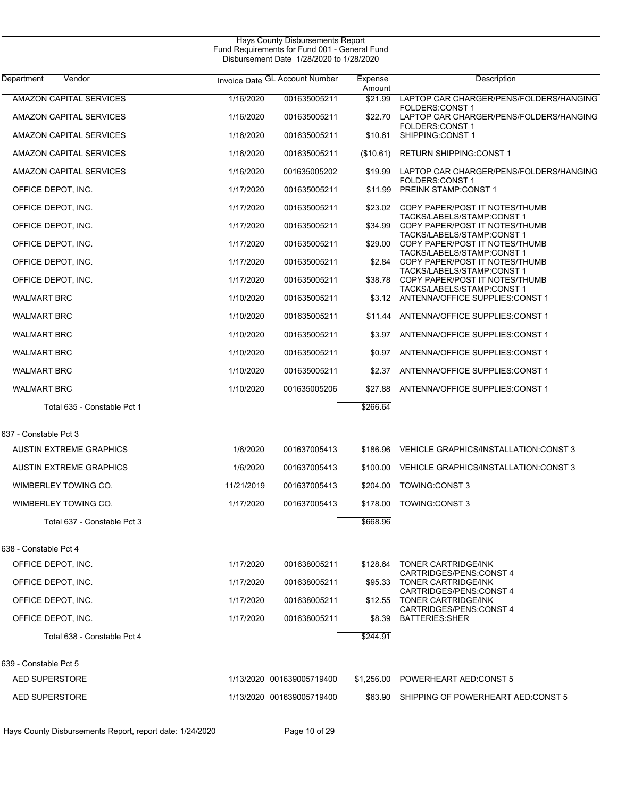| Department<br>Vendor           |            | Invoice Date GL Account Number | Expense<br>Amount | Description                                                       |
|--------------------------------|------------|--------------------------------|-------------------|-------------------------------------------------------------------|
| <b>AMAZON CAPITAL SERVICES</b> | 1/16/2020  | 001635005211                   | \$21.99           | LAPTOP CAR CHARGER/PENS/FOLDERS/HANGING<br><b>FOLDERS:CONST 1</b> |
| AMAZON CAPITAL SERVICES        | 1/16/2020  | 001635005211                   | \$22.70           | LAPTOP CAR CHARGER/PENS/FOLDERS/HANGING                           |
| AMAZON CAPITAL SERVICES        | 1/16/2020  | 001635005211                   | \$10.61           | <b>FOLDERS:CONST 1</b><br>SHIPPING:CONST 1                        |
| AMAZON CAPITAL SERVICES        | 1/16/2020  | 001635005211                   | (\$10.61)         | <b>RETURN SHIPPING:CONST 1</b>                                    |
| AMAZON CAPITAL SERVICES        | 1/16/2020  | 001635005202                   | \$19.99           | LAPTOP CAR CHARGER/PENS/FOLDERS/HANGING<br><b>FOLDERS:CONST 1</b> |
| OFFICE DEPOT, INC.             | 1/17/2020  | 001635005211                   | \$11.99           | <b>PREINK STAMP:CONST 1</b>                                       |
| OFFICE DEPOT, INC.             | 1/17/2020  | 001635005211                   | \$23.02           | COPY PAPER/POST IT NOTES/THUMB<br>TACKS/LABELS/STAMP:CONST 1      |
| OFFICE DEPOT, INC.             | 1/17/2020  | 001635005211                   | \$34.99           | COPY PAPER/POST IT NOTES/THUMB<br>TACKS/LABELS/STAMP:CONST 1      |
| OFFICE DEPOT, INC.             | 1/17/2020  | 001635005211                   | \$29.00           | COPY PAPER/POST IT NOTES/THUMB<br>TACKS/LABELS/STAMP:CONST 1      |
| OFFICE DEPOT, INC.             | 1/17/2020  | 001635005211                   | \$2.84            | COPY PAPER/POST IT NOTES/THUMB<br>TACKS/LABELS/STAMP:CONST 1      |
| OFFICE DEPOT, INC.             | 1/17/2020  | 001635005211                   | \$38.78           | COPY PAPER/POST IT NOTES/THUMB                                    |
| <b>WALMART BRC</b>             | 1/10/2020  | 001635005211                   | \$3.12            | TACKS/LABELS/STAMP:CONST 1<br>ANTENNA/OFFICE SUPPLIES: CONST 1    |
| <b>WALMART BRC</b>             | 1/10/2020  | 001635005211                   | \$11.44           | ANTENNA/OFFICE SUPPLIES: CONST 1                                  |
| <b>WALMART BRC</b>             | 1/10/2020  | 001635005211                   | \$3.97            | ANTENNA/OFFICE SUPPLIES: CONST 1                                  |
| <b>WALMART BRC</b>             | 1/10/2020  | 001635005211                   | \$0.97            | ANTENNA/OFFICE SUPPLIES: CONST 1                                  |
| <b>WALMART BRC</b>             | 1/10/2020  | 001635005211                   | \$2.37            | ANTENNA/OFFICE SUPPLIES: CONST 1                                  |
| <b>WALMART BRC</b>             | 1/10/2020  | 001635005206                   | \$27.88           | ANTENNA/OFFICE SUPPLIES: CONST 1                                  |
| Total 635 - Constable Pct 1    |            |                                | \$266.64          |                                                                   |
| 637 - Constable Pct 3          |            |                                |                   |                                                                   |
| <b>AUSTIN EXTREME GRAPHICS</b> | 1/6/2020   | 001637005413                   | \$186.96          | VEHICLE GRAPHICS/INSTALLATION:CONST 3                             |
| <b>AUSTIN EXTREME GRAPHICS</b> | 1/6/2020   | 001637005413                   | \$100.00          | VEHICLE GRAPHICS/INSTALLATION:CONST 3                             |
| WIMBERLEY TOWING CO.           | 11/21/2019 | 001637005413                   | \$204.00          | TOWING:CONST 3                                                    |
| WIMBERLEY TOWING CO.           | 1/17/2020  | 001637005413                   | \$178.00          | <b>TOWING:CONST 3</b>                                             |
| Total 637 - Constable Pct 3    |            |                                | \$668.96          |                                                                   |
| 638 - Constable Pct 4          |            |                                |                   |                                                                   |
| OFFICE DEPOT, INC.             | 1/17/2020  | 001638005211                   | \$128.64          | <b>TONER CARTRIDGE/INK</b>                                        |
| OFFICE DEPOT, INC.             | 1/17/2020  | 001638005211                   | \$95.33           | CARTRIDGES/PENS:CONST 4<br><b>TONER CARTRIDGE/INK</b>             |
| OFFICE DEPOT, INC.             | 1/17/2020  | 001638005211                   | \$12.55           | CARTRIDGES/PENS:CONST 4<br><b>TONER CARTRIDGE/INK</b>             |
| OFFICE DEPOT, INC.             | 1/17/2020  | 001638005211                   | \$8.39            | CARTRIDGES/PENS:CONST 4<br><b>BATTERIES:SHER</b>                  |
| Total 638 - Constable Pct 4    |            |                                | \$244.91          |                                                                   |
| 639 - Constable Pct 5          |            |                                |                   |                                                                   |
| <b>AED SUPERSTORE</b>          |            | 1/13/2020 001639005719400      |                   | \$1,256.00 POWERHEART AED:CONST 5                                 |
| <b>AED SUPERSTORE</b>          |            | 1/13/2020 001639005719400      |                   | \$63.90 SHIPPING OF POWERHEART AED:CONST 5                        |

Hays County Disbursements Report, report date: 1/24/2020 Page 10 of 29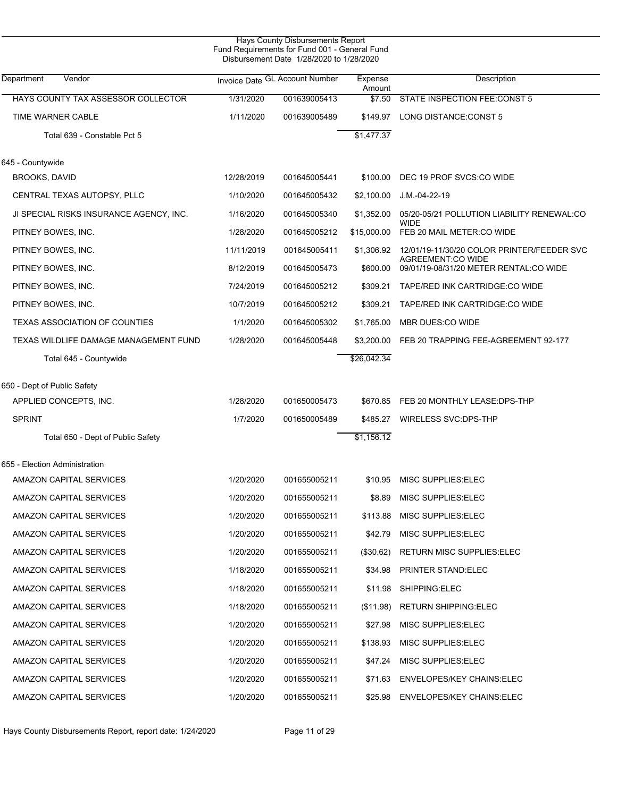|                                         |            | Hays County Disbursements Report<br>Fund Requirements for Fund 001 - General Fund<br>Disbursement Date 1/28/2020 to 1/28/2020 |                   |                                                                    |
|-----------------------------------------|------------|-------------------------------------------------------------------------------------------------------------------------------|-------------------|--------------------------------------------------------------------|
| Department<br>Vendor                    |            | Invoice Date GL Account Number                                                                                                | Expense<br>Amount | Description                                                        |
| HAYS COUNTY TAX ASSESSOR COLLECTOR      | 1/31/2020  | 001639005413                                                                                                                  | \$7.50            | <b>STATE INSPECTION FEE:CONST 5</b>                                |
| TIME WARNER CABLE                       | 1/11/2020  | 001639005489                                                                                                                  | \$149.97          | LONG DISTANCE:CONST 5                                              |
| Total 639 - Constable Pct 5             |            |                                                                                                                               | \$1,477.37        |                                                                    |
| 645 - Countywide                        |            |                                                                                                                               |                   |                                                                    |
| <b>BROOKS, DAVID</b>                    | 12/28/2019 | 001645005441                                                                                                                  | \$100.00          | DEC 19 PROF SVCS:CO WIDE                                           |
| CENTRAL TEXAS AUTOPSY, PLLC             | 1/10/2020  | 001645005432                                                                                                                  | \$2,100.00        | J.M.-04-22-19                                                      |
| JI SPECIAL RISKS INSURANCE AGENCY, INC. | 1/16/2020  | 001645005340                                                                                                                  | \$1,352.00        | 05/20-05/21 POLLUTION LIABILITY RENEWAL:CO                         |
| PITNEY BOWES, INC.                      | 1/28/2020  | 001645005212                                                                                                                  | \$15,000.00       | WIDE<br>FEB 20 MAIL METER:CO WIDE                                  |
| PITNEY BOWES, INC.                      | 11/11/2019 | 001645005411                                                                                                                  | \$1,306.92        | 12/01/19-11/30/20 COLOR PRINTER/FEEDER SVC                         |
| PITNEY BOWES, INC.                      | 8/12/2019  | 001645005473                                                                                                                  | \$600.00          | <b>AGREEMENT:CO WIDE</b><br>09/01/19-08/31/20 METER RENTAL:CO WIDE |
| PITNEY BOWES, INC.                      | 7/24/2019  | 001645005212                                                                                                                  | \$309.21          | TAPE/RED INK CARTRIDGE:CO WIDE                                     |
| PITNEY BOWES, INC.                      | 10/7/2019  | 001645005212                                                                                                                  | \$309.21          | TAPE/RED INK CARTRIDGE:CO WIDE                                     |
| <b>TEXAS ASSOCIATION OF COUNTIES</b>    | 1/1/2020   | 001645005302                                                                                                                  | \$1,765.00        | MBR DUES:CO WIDE                                                   |
| TEXAS WILDLIFE DAMAGE MANAGEMENT FUND   | 1/28/2020  | 001645005448                                                                                                                  | \$3,200.00        | FEB 20 TRAPPING FEE-AGREEMENT 92-177                               |
| Total 645 - Countywide                  |            |                                                                                                                               | \$26,042.34       |                                                                    |
| 650 - Dept of Public Safety             |            |                                                                                                                               |                   |                                                                    |
| APPLIED CONCEPTS, INC.                  | 1/28/2020  | 001650005473                                                                                                                  | \$670.85          | FEB 20 MONTHLY LEASE:DPS-THP                                       |
| <b>SPRINT</b>                           | 1/7/2020   | 001650005489                                                                                                                  | \$485.27          | WIRELESS SVC:DPS-THP                                               |
| Total 650 - Dept of Public Safety       |            |                                                                                                                               | \$1,156.12        |                                                                    |
| 655 - Election Administration           |            |                                                                                                                               |                   |                                                                    |
| <b>AMAZON CAPITAL SERVICES</b>          | 1/20/2020  | 001655005211                                                                                                                  |                   | \$10.95 MISC SUPPLIES:ELEC                                         |
| AMAZON CAPITAL SERVICES                 | 1/20/2020  | 001655005211                                                                                                                  | \$8.89            | MISC SUPPLIES: ELEC                                                |
| AMAZON CAPITAL SERVICES                 | 1/20/2020  | 001655005211                                                                                                                  |                   | \$113.88 MISC SUPPLIES:ELEC                                        |
| AMAZON CAPITAL SERVICES                 | 1/20/2020  | 001655005211                                                                                                                  | \$42.79           | MISC SUPPLIES:ELEC                                                 |
| AMAZON CAPITAL SERVICES                 | 1/20/2020  | 001655005211                                                                                                                  | (\$30.62)         | <b>RETURN MISC SUPPLIES: ELEC</b>                                  |
| AMAZON CAPITAL SERVICES                 | 1/18/2020  | 001655005211                                                                                                                  | \$34.98           | <b>PRINTER STAND:ELEC</b>                                          |
| AMAZON CAPITAL SERVICES                 | 1/18/2020  | 001655005211                                                                                                                  | \$11.98           | SHIPPING:ELEC                                                      |
| AMAZON CAPITAL SERVICES                 | 1/18/2020  | 001655005211                                                                                                                  | (\$11.98)         | <b>RETURN SHIPPING:ELEC</b>                                        |
| AMAZON CAPITAL SERVICES                 | 1/20/2020  | 001655005211                                                                                                                  | \$27.98           | MISC SUPPLIES: ELEC                                                |
| AMAZON CAPITAL SERVICES                 | 1/20/2020  | 001655005211                                                                                                                  | \$138.93          | MISC SUPPLIES: ELEC                                                |
| AMAZON CAPITAL SERVICES                 | 1/20/2020  | 001655005211                                                                                                                  | \$47.24           | MISC SUPPLIES: ELEC                                                |
| AMAZON CAPITAL SERVICES                 | 1/20/2020  | 001655005211                                                                                                                  | \$71.63           | <b>ENVELOPES/KEY CHAINS:ELEC</b>                                   |
| AMAZON CAPITAL SERVICES                 | 1/20/2020  | 001655005211                                                                                                                  |                   | \$25.98 ENVELOPES/KEY CHAINS:ELEC                                  |

J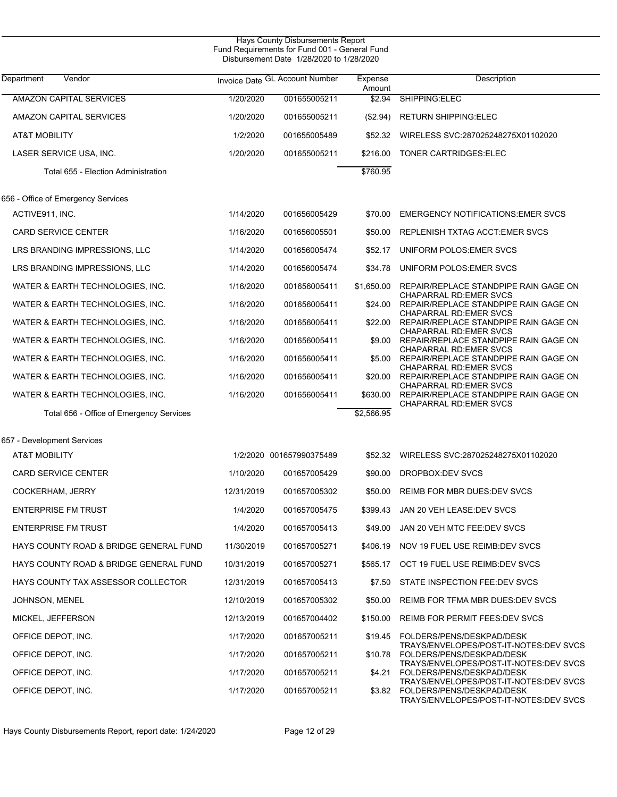| Vendor<br>Department                     |            | Invoice Date GL Account Number | Expense<br>Amount | Description                                                                                                   |
|------------------------------------------|------------|--------------------------------|-------------------|---------------------------------------------------------------------------------------------------------------|
| <b>AMAZON CAPITAL SERVICES</b>           | 1/20/2020  | 001655005211                   | \$2.94            | SHIPPING:ELEC                                                                                                 |
| AMAZON CAPITAL SERVICES                  | 1/20/2020  | 001655005211                   | (\$2.94)          | <b>RETURN SHIPPING:ELEC</b>                                                                                   |
| <b>AT&amp;T MOBILITY</b>                 | 1/2/2020   | 001655005489                   | \$52.32           | WIRELESS SVC:287025248275X01102020                                                                            |
| LASER SERVICE USA, INC.                  | 1/20/2020  | 001655005211                   | \$216.00          | <b>TONER CARTRIDGES:ELEC</b>                                                                                  |
| Total 655 - Election Administration      |            |                                | \$760.95          |                                                                                                               |
| 656 - Office of Emergency Services       |            |                                |                   |                                                                                                               |
| ACTIVE911, INC.                          | 1/14/2020  | 001656005429                   | \$70.00           | <b>EMERGENCY NOTIFICATIONS: EMER SVCS</b>                                                                     |
| <b>CARD SERVICE CENTER</b>               | 1/16/2020  | 001656005501                   | \$50.00           | REPLENISH TXTAG ACCT: EMER SVCS                                                                               |
| LRS BRANDING IMPRESSIONS, LLC            | 1/14/2020  | 001656005474                   | \$52.17           | UNIFORM POLOS: EMER SVCS                                                                                      |
| LRS BRANDING IMPRESSIONS, LLC            | 1/14/2020  | 001656005474                   | \$34.78           | UNIFORM POLOS: EMER SVCS                                                                                      |
| WATER & EARTH TECHNOLOGIES, INC.         | 1/16/2020  | 001656005411                   | \$1,650.00        | REPAIR/REPLACE STANDPIPE RAIN GAGE ON                                                                         |
| WATER & EARTH TECHNOLOGIES, INC.         | 1/16/2020  | 001656005411                   | \$24.00           | <b>CHAPARRAL RD:EMER SVCS</b><br>REPAIR/REPLACE STANDPIPE RAIN GAGE ON                                        |
| WATER & EARTH TECHNOLOGIES, INC.         | 1/16/2020  | 001656005411                   | \$22.00           | <b>CHAPARRAL RD:EMER SVCS</b><br>REPAIR/REPLACE STANDPIPE RAIN GAGE ON                                        |
| WATER & EARTH TECHNOLOGIES, INC.         | 1/16/2020  | 001656005411                   | \$9.00            | <b>CHAPARRAL RD:EMER SVCS</b><br>REPAIR/REPLACE STANDPIPE RAIN GAGE ON                                        |
| WATER & EARTH TECHNOLOGIES, INC.         | 1/16/2020  | 001656005411                   | \$5.00            | <b>CHAPARRAL RD:EMER SVCS</b><br>REPAIR/REPLACE STANDPIPE RAIN GAGE ON                                        |
| WATER & EARTH TECHNOLOGIES, INC.         | 1/16/2020  | 001656005411                   | \$20.00           | <b>CHAPARRAL RD:EMER SVCS</b><br>REPAIR/REPLACE STANDPIPE RAIN GAGE ON                                        |
| WATER & EARTH TECHNOLOGIES, INC.         | 1/16/2020  | 001656005411                   | \$630.00          | <b>CHAPARRAL RD:EMER SVCS</b><br>REPAIR/REPLACE STANDPIPE RAIN GAGE ON                                        |
| Total 656 - Office of Emergency Services |            |                                | \$2,566.95        | CHAPARRAL RD:EMER SVCS                                                                                        |
| 657 - Development Services               |            |                                |                   |                                                                                                               |
| <b>AT&amp;T MOBILITY</b>                 |            | 1/2/2020 001657990375489       | \$52.32           | WIRELESS SVC:287025248275X01102020                                                                            |
| <b>CARD SERVICE CENTER</b>               | 1/10/2020  | 001657005429                   | \$90.00           | DROPBOX:DEV SVCS                                                                                              |
| COCKERHAM, JERRY                         | 12/31/2019 | 001657005302                   | \$50.00           | <b>REIMB FOR MBR DUES: DEV SVCS</b>                                                                           |
| <b>ENTERPRISE FM TRUST</b>               | 1/4/2020   | 001657005475                   |                   | \$399.43 JAN 20 VEH LEASE:DEV SVCS                                                                            |
| <b>ENTERPRISE FM TRUST</b>               | 1/4/2020   | 001657005413                   | \$49.00           | JAN 20 VEH MTC FEE:DEV SVCS                                                                                   |
| HAYS COUNTY ROAD & BRIDGE GENERAL FUND   | 11/30/2019 | 001657005271                   | \$406.19          | NOV 19 FUEL USE REIMB:DEV SVCS                                                                                |
| HAYS COUNTY ROAD & BRIDGE GENERAL FUND   | 10/31/2019 | 001657005271                   | \$565.17          | OCT 19 FUEL USE REIMB:DEV SVCS                                                                                |
| HAYS COUNTY TAX ASSESSOR COLLECTOR       | 12/31/2019 | 001657005413                   | \$7.50            | STATE INSPECTION FEE:DEV SVCS                                                                                 |
| JOHNSON, MENEL                           | 12/10/2019 | 001657005302                   | \$50.00           | REIMB FOR TFMA MBR DUES: DEV SVCS                                                                             |
| MICKEL, JEFFERSON                        | 12/13/2019 | 001657004402                   | \$150.00          | <b>REIMB FOR PERMIT FEES: DEV SVCS</b>                                                                        |
| OFFICE DEPOT, INC.                       | 1/17/2020  | 001657005211                   | \$19.45           | FOLDERS/PENS/DESKPAD/DESK                                                                                     |
| OFFICE DEPOT, INC.                       | 1/17/2020  | 001657005211                   | \$10.78           | TRAYS/ENVELOPES/POST-IT-NOTES:DEV SVCS<br>FOLDERS/PENS/DESKPAD/DESK                                           |
| OFFICE DEPOT, INC.                       | 1/17/2020  | 001657005211                   | \$4.21            | TRAYS/ENVELOPES/POST-IT-NOTES:DEV SVCS<br>FOLDERS/PENS/DESKPAD/DESK                                           |
| OFFICE DEPOT, INC.                       | 1/17/2020  | 001657005211                   | \$3.82            | TRAYS/ENVELOPES/POST-IT-NOTES:DEV SVCS<br>FOLDERS/PENS/DESKPAD/DESK<br>TRAYS/ENVELOPES/POST-IT-NOTES:DEV SVCS |

Hays County Disbursements Report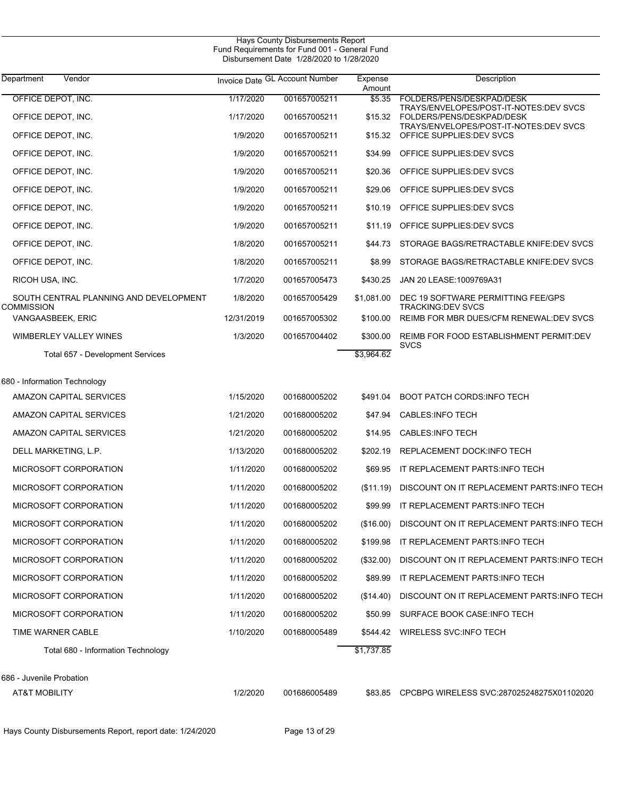| Department<br>Vendor                   |            | Invoice Date GL Account Number | Expense<br>Amount | Description                                                         |
|----------------------------------------|------------|--------------------------------|-------------------|---------------------------------------------------------------------|
| OFFICE DEPOT, INC.                     | 1/17/2020  | 001657005211                   | \$5.35            | FOLDERS/PENS/DESKPAD/DESK<br>TRAYS/ENVELOPES/POST-IT-NOTES:DEV SVCS |
| OFFICE DEPOT, INC.                     | 1/17/2020  | 001657005211                   | \$15.32           | FOLDERS/PENS/DESKPAD/DESK<br>TRAYS/ENVELOPES/POST-IT-NOTES:DEV SVCS |
| OFFICE DEPOT, INC.                     | 1/9/2020   | 001657005211                   | \$15.32           | OFFICE SUPPLIES: DEV SVCS                                           |
| OFFICE DEPOT, INC.                     | 1/9/2020   | 001657005211                   | \$34.99           | OFFICE SUPPLIES: DEV SVCS                                           |
| OFFICE DEPOT, INC.                     | 1/9/2020   | 001657005211                   | \$20.36           | OFFICE SUPPLIES: DEV SVCS                                           |
| OFFICE DEPOT, INC.                     | 1/9/2020   | 001657005211                   | \$29.06           | OFFICE SUPPLIES: DEV SVCS                                           |
| OFFICE DEPOT, INC.                     | 1/9/2020   | 001657005211                   | \$10.19           | OFFICE SUPPLIES: DEV SVCS                                           |
| OFFICE DEPOT, INC.                     | 1/9/2020   | 001657005211                   | \$11.19           | OFFICE SUPPLIES: DEV SVCS                                           |
| OFFICE DEPOT, INC.                     | 1/8/2020   | 001657005211                   | \$44.73           | STORAGE BAGS/RETRACTABLE KNIFE:DEV SVCS                             |
| OFFICE DEPOT, INC.                     | 1/8/2020   | 001657005211                   | \$8.99            | STORAGE BAGS/RETRACTABLE KNIFE:DEV SVCS                             |
| RICOH USA, INC.                        | 1/7/2020   | 001657005473                   | \$430.25          | JAN 20 LEASE: 1009769A31                                            |
| SOUTH CENTRAL PLANNING AND DEVELOPMENT | 1/8/2020   | 001657005429                   | \$1,081.00        | DEC 19 SOFTWARE PERMITTING FEE/GPS                                  |
| <b>COMMISSION</b><br>VANGAASBEEK, ERIC | 12/31/2019 | 001657005302                   | \$100.00          | <b>TRACKING:DEV SVCS</b><br>REIMB FOR MBR DUES/CFM RENEWAL:DEV SVCS |
| <b>WIMBERLEY VALLEY WINES</b>          | 1/3/2020   | 001657004402                   | \$300.00          | REIMB FOR FOOD ESTABLISHMENT PERMIT:DEV                             |
| Total 657 - Development Services       |            |                                | \$3,964.62        | <b>SVCS</b>                                                         |
| 680 - Information Technology           |            |                                |                   |                                                                     |
| AMAZON CAPITAL SERVICES                | 1/15/2020  | 001680005202                   | \$491.04          | <b>BOOT PATCH CORDS:INFO TECH</b>                                   |
| AMAZON CAPITAL SERVICES                | 1/21/2020  | 001680005202                   | \$47.94           | <b>CABLES:INFO TECH</b>                                             |
| AMAZON CAPITAL SERVICES                | 1/21/2020  | 001680005202                   | \$14.95           | <b>CABLES:INFO TECH</b>                                             |
| DELL MARKETING, L.P.                   | 1/13/2020  | 001680005202                   | \$202.19          | REPLACEMENT DOCK:INFO TECH                                          |
| MICROSOFT CORPORATION                  | 1/11/2020  | 001680005202                   | \$69.95           | IT REPLACEMENT PARTS:INFO TECH                                      |
| MICROSOFT CORPORATION                  | 1/11/2020  | 001680005202                   | (\$11.19)         | DISCOUNT ON IT REPLACEMENT PARTS:INFO TECH                          |
| MICROSOFT CORPORATION                  | 1/11/2020  | 001680005202                   | \$99.99           | IT REPLACEMENT PARTS:INFO TECH                                      |
| MICROSOFT CORPORATION                  | 1/11/2020  | 001680005202                   | (\$16.00)         | DISCOUNT ON IT REPLACEMENT PARTS:INFO TECH                          |
| MICROSOFT CORPORATION                  | 1/11/2020  | 001680005202                   | \$199.98          | IT REPLACEMENT PARTS:INFO TECH                                      |
| MICROSOFT CORPORATION                  | 1/11/2020  | 001680005202                   | (\$32.00)         | DISCOUNT ON IT REPLACEMENT PARTS:INFO TECH                          |
| MICROSOFT CORPORATION                  | 1/11/2020  | 001680005202                   | \$89.99           | IT REPLACEMENT PARTS:INFO TECH                                      |
| MICROSOFT CORPORATION                  | 1/11/2020  | 001680005202                   | (\$14.40)         | DISCOUNT ON IT REPLACEMENT PARTS:INFO TECH                          |
| MICROSOFT CORPORATION                  | 1/11/2020  | 001680005202                   | \$50.99           | SURFACE BOOK CASE: INFO TECH                                        |
| TIME WARNER CABLE                      | 1/10/2020  | 001680005489                   | \$544.42          | WIRELESS SVC: INFO TECH                                             |
| Total 680 - Information Technology     |            |                                | \$1,737.85        |                                                                     |
| 686 - Juvenile Probation               |            |                                |                   |                                                                     |
| <b>AT&amp;T MOBILITY</b>               | 1/2/2020   | 001686005489                   | \$83.85           | CPCBPG WIRELESS SVC:287025248275X01102020                           |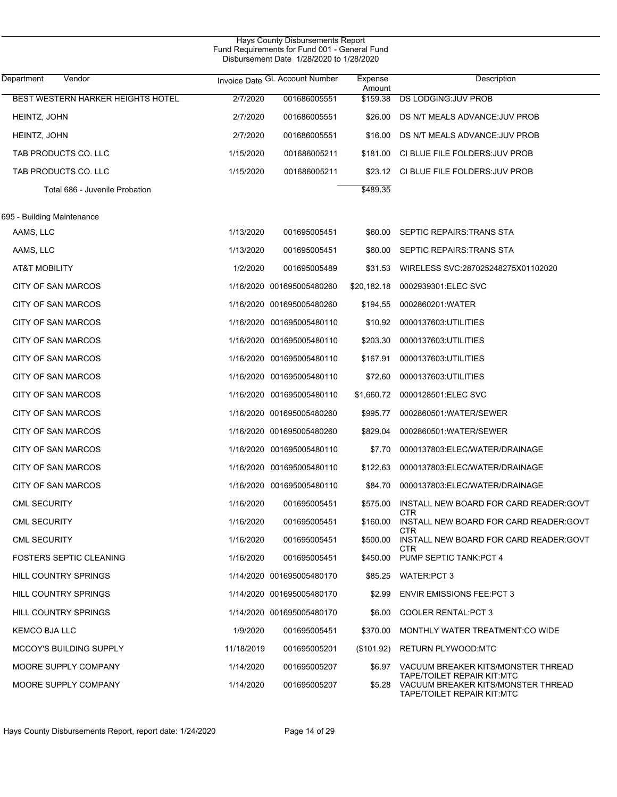|                                   |            | Hays County Disbursements Report<br>Fund Requirements for Fund 001 - General Fund<br>Disbursement Date 1/28/2020 to 1/28/2020 |                   |                                                                                                       |
|-----------------------------------|------------|-------------------------------------------------------------------------------------------------------------------------------|-------------------|-------------------------------------------------------------------------------------------------------|
| Vendor<br>Department              |            | Invoice Date GL Account Number                                                                                                | Expense<br>Amount | Description                                                                                           |
| BEST WESTERN HARKER HEIGHTS HOTEL | 2/7/2020   | 001686005551                                                                                                                  | \$159.38          | <b>DS LODGING:JUV PROB</b>                                                                            |
| HEINTZ, JOHN                      | 2/7/2020   | 001686005551                                                                                                                  | \$26.00           | DS N/T MEALS ADVANCE: JUV PROB                                                                        |
| HEINTZ, JOHN                      | 2/7/2020   | 001686005551                                                                                                                  | \$16.00           | DS N/T MEALS ADVANCE: JUV PROB                                                                        |
| TAB PRODUCTS CO. LLC              | 1/15/2020  | 001686005211                                                                                                                  | \$181.00          | CI BLUE FILE FOLDERS: JUV PROB                                                                        |
| TAB PRODUCTS CO. LLC              | 1/15/2020  | 001686005211                                                                                                                  | \$23.12           | CI BLUE FILE FOLDERS: JUV PROB                                                                        |
| Total 686 - Juvenile Probation    |            |                                                                                                                               | \$489.35          |                                                                                                       |
| 695 - Building Maintenance        |            |                                                                                                                               |                   |                                                                                                       |
| AAMS, LLC                         | 1/13/2020  | 001695005451                                                                                                                  | \$60.00           | SEPTIC REPAIRS: TRANS STA                                                                             |
| AAMS, LLC                         | 1/13/2020  | 001695005451                                                                                                                  | \$60.00           | SEPTIC REPAIRS: TRANS STA                                                                             |
| <b>AT&amp;T MOBILITY</b>          | 1/2/2020   | 001695005489                                                                                                                  | \$31.53           | WIRELESS SVC:287025248275X01102020                                                                    |
| CITY OF SAN MARCOS                |            | 1/16/2020 001695005480260                                                                                                     | \$20,182.18       | 0002939301:ELEC SVC                                                                                   |
| CITY OF SAN MARCOS                |            | 1/16/2020 001695005480260                                                                                                     | \$194.55          | 0002860201:WATER                                                                                      |
| CITY OF SAN MARCOS                |            | 1/16/2020 001695005480110                                                                                                     | \$10.92           | 0000137603:UTILITIES                                                                                  |
| <b>CITY OF SAN MARCOS</b>         |            | 1/16/2020 001695005480110                                                                                                     | \$203.30          | 0000137603:UTILITIES                                                                                  |
| CITY OF SAN MARCOS                |            | 1/16/2020 001695005480110                                                                                                     | \$167.91          | 0000137603:UTILITIES                                                                                  |
| CITY OF SAN MARCOS                |            | 1/16/2020 001695005480110                                                                                                     | \$72.60           | 0000137603:UTILITIES                                                                                  |
| CITY OF SAN MARCOS                |            | 1/16/2020 001695005480110                                                                                                     | \$1,660.72        | 0000128501:ELEC SVC                                                                                   |
| CITY OF SAN MARCOS                |            | 1/16/2020 001695005480260                                                                                                     | \$995.77          | 0002860501:WATER/SEWER                                                                                |
| CITY OF SAN MARCOS                |            | 1/16/2020 001695005480260                                                                                                     | \$829.04          | 0002860501:WATER/SEWER                                                                                |
| CITY OF SAN MARCOS                |            | 1/16/2020 001695005480110                                                                                                     | \$7.70            | 0000137803:ELEC/WATER/DRAINAGE                                                                        |
| <b>CITY OF SAN MARCOS</b>         |            | 1/16/2020 001695005480110                                                                                                     | \$122.63          | 0000137803:ELEC/WATER/DRAINAGE                                                                        |
| CITY OF SAN MARCOS                |            | 1/16/2020 001695005480110                                                                                                     |                   | \$84.70  0000137803:ELEC/WATER/DRAINAGE                                                               |
| <b>CML SECURITY</b>               | 1/16/2020  | 001695005451                                                                                                                  | \$575.00          | INSTALL NEW BOARD FOR CARD READER:GOVT<br>CTR                                                         |
| <b>CML SECURITY</b>               | 1/16/2020  | 001695005451                                                                                                                  | \$160.00          | INSTALL NEW BOARD FOR CARD READER:GOVT<br>CTR                                                         |
| <b>CML SECURITY</b>               | 1/16/2020  | 001695005451                                                                                                                  | \$500.00          | INSTALL NEW BOARD FOR CARD READER:GOVT<br>CTR                                                         |
| <b>FOSTERS SEPTIC CLEANING</b>    | 1/16/2020  | 001695005451                                                                                                                  | \$450.00          | PUMP SEPTIC TANK: PCT 4                                                                               |
| <b>HILL COUNTRY SPRINGS</b>       |            | 1/14/2020 001695005480170                                                                                                     | \$85.25           | <b>WATER:PCT 3</b>                                                                                    |
| <b>HILL COUNTRY SPRINGS</b>       |            | 1/14/2020 001695005480170                                                                                                     | \$2.99            | <b>ENVIR EMISSIONS FEE: PCT 3</b>                                                                     |
| HILL COUNTRY SPRINGS              |            | 1/14/2020 001695005480170                                                                                                     | \$6.00            | <b>COOLER RENTAL: PCT 3</b>                                                                           |
| KEMCO BJA LLC                     | 1/9/2020   | 001695005451                                                                                                                  | \$370.00          | MONTHLY WATER TREATMENT:CO WIDE                                                                       |
| <b>MCCOY'S BUILDING SUPPLY</b>    | 11/18/2019 | 001695005201                                                                                                                  | (\$101.92)        | RETURN PLYWOOD:MTC                                                                                    |
| MOORE SUPPLY COMPANY              | 1/14/2020  | 001695005207                                                                                                                  | \$6.97            | VACUUM BREAKER KITS/MONSTER THREAD                                                                    |
| MOORE SUPPLY COMPANY              | 1/14/2020  | 001695005207                                                                                                                  | \$5.28            | <b>TAPE/TOILET REPAIR KIT:MTC</b><br>VACUUM BREAKER KITS/MONSTER THREAD<br>TAPE/TOILET REPAIR KIT:MTC |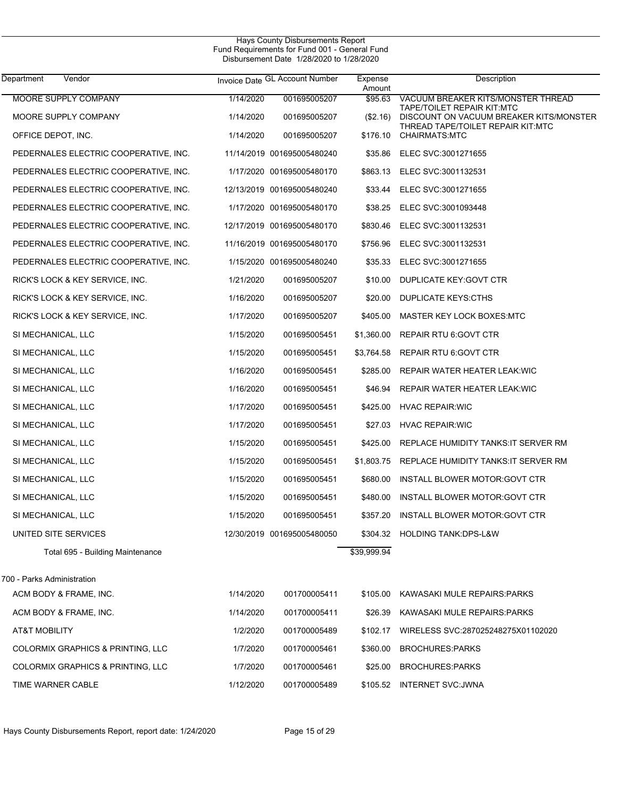| Vendor<br>Department                  |           | Invoice Date GL Account Number | Expense<br>Amount | Description                                                           |
|---------------------------------------|-----------|--------------------------------|-------------------|-----------------------------------------------------------------------|
| MOORE SUPPLY COMPANY                  | 1/14/2020 | 001695005207                   | \$95.63           | VACUUM BREAKER KITS/MONSTER THREAD                                    |
| MOORE SUPPLY COMPANY                  | 1/14/2020 | 001695005207                   | (\$2.16)          | TAPE/TOILET REPAIR KIT:MTC<br>DISCOUNT ON VACUUM BREAKER KITS/MONSTER |
| OFFICE DEPOT, INC.                    | 1/14/2020 | 001695005207                   | \$176.10          | THREAD TAPE/TOILET REPAIR KIT:MTC<br><b>CHAIRMATS:MTC</b>             |
| PEDERNALES ELECTRIC COOPERATIVE, INC. |           | 11/14/2019 001695005480240     |                   | \$35.86 ELEC SVC:3001271655                                           |
| PEDERNALES ELECTRIC COOPERATIVE, INC. |           | 1/17/2020 001695005480170      |                   | \$863.13 ELEC SVC:3001132531                                          |
| PEDERNALES ELECTRIC COOPERATIVE, INC. |           | 12/13/2019 001695005480240     |                   | \$33.44 ELEC SVC:3001271655                                           |
| PEDERNALES ELECTRIC COOPERATIVE, INC. |           | 1/17/2020 001695005480170      | \$38.25           | ELEC SVC:3001093448                                                   |
| PEDERNALES ELECTRIC COOPERATIVE, INC. |           | 12/17/2019 001695005480170     |                   | \$830.46 ELEC SVC:3001132531                                          |
| PEDERNALES ELECTRIC COOPERATIVE, INC. |           | 11/16/2019 001695005480170     | \$756.96          | ELEC SVC:3001132531                                                   |
| PEDERNALES ELECTRIC COOPERATIVE, INC. |           | 1/15/2020 001695005480240      | \$35.33           | ELEC SVC:3001271655                                                   |
| RICK'S LOCK & KEY SERVICE, INC.       | 1/21/2020 | 001695005207                   | \$10.00           | DUPLICATE KEY: GOVT CTR                                               |
| RICK'S LOCK & KEY SERVICE, INC.       | 1/16/2020 | 001695005207                   | \$20.00           | DUPLICATE KEYS:CTHS                                                   |
| RICK'S LOCK & KEY SERVICE, INC.       | 1/17/2020 | 001695005207                   | \$405.00          | MASTER KEY LOCK BOXES:MTC                                             |
| SI MECHANICAL, LLC                    | 1/15/2020 | 001695005451                   | \$1,360.00        | <b>REPAIR RTU 6: GOVT CTR</b>                                         |
| SI MECHANICAL, LLC                    | 1/15/2020 | 001695005451                   | \$3,764.58        | <b>REPAIR RTU 6: GOVT CTR</b>                                         |
| SI MECHANICAL, LLC                    | 1/16/2020 | 001695005451                   | \$285.00          | REPAIR WATER HEATER LEAK: WIC                                         |
| SI MECHANICAL, LLC                    | 1/16/2020 | 001695005451                   | \$46.94           | REPAIR WATER HEATER LEAK:WIC                                          |
| SI MECHANICAL, LLC                    | 1/17/2020 | 001695005451                   | \$425.00          | <b>HVAC REPAIR: WIC</b>                                               |
| SI MECHANICAL, LLC                    | 1/17/2020 | 001695005451                   | \$27.03           | <b>HVAC REPAIR: WIC</b>                                               |
| SI MECHANICAL, LLC                    | 1/15/2020 | 001695005451                   | \$425.00          | REPLACE HUMIDITY TANKS: IT SERVER RM                                  |
| SI MECHANICAL, LLC                    | 1/15/2020 | 001695005451                   | \$1,803.75        | REPLACE HUMIDITY TANKS: IT SERVER RM                                  |
| SI MECHANICAL, LLC                    | 1/15/2020 | 001695005451                   | \$680.00          | INSTALL BLOWER MOTOR: GOVT CTR                                        |
| SI MECHANICAL, LLC                    | 1/15/2020 | 001695005451                   | \$480.00          | INSTALL BLOWER MOTOR: GOVT CTR                                        |
| SI MECHANICAL, LLC                    | 1/15/2020 | 001695005451                   | \$357.20          | INSTALL BLOWER MOTOR:GOVT CTR                                         |
| UNITED SITE SERVICES                  |           | 12/30/2019 001695005480050     |                   | \$304.32 HOLDING TANK:DPS-L&W                                         |
| Total 695 - Building Maintenance      |           |                                | \$39,999.94       |                                                                       |
| 700 - Parks Administration            |           |                                |                   |                                                                       |
| ACM BODY & FRAME, INC.                | 1/14/2020 | 001700005411                   | \$105.00          | KAWASAKI MULE REPAIRS: PARKS                                          |
| ACM BODY & FRAME, INC.                | 1/14/2020 | 001700005411                   | \$26.39           | KAWASAKI MULE REPAIRS: PARKS                                          |
| <b>AT&amp;T MOBILITY</b>              | 1/2/2020  | 001700005489                   | \$102.17          | WIRELESS SVC:287025248275X01102020                                    |
| COLORMIX GRAPHICS & PRINTING, LLC     | 1/7/2020  | 001700005461                   | \$360.00          | <b>BROCHURES:PARKS</b>                                                |
| COLORMIX GRAPHICS & PRINTING, LLC     | 1/7/2020  | 001700005461                   | \$25.00           | <b>BROCHURES:PARKS</b>                                                |
| TIME WARNER CABLE                     | 1/12/2020 | 001700005489                   |                   | \$105.52 INTERNET SVC:JWNA                                            |
|                                       |           |                                |                   |                                                                       |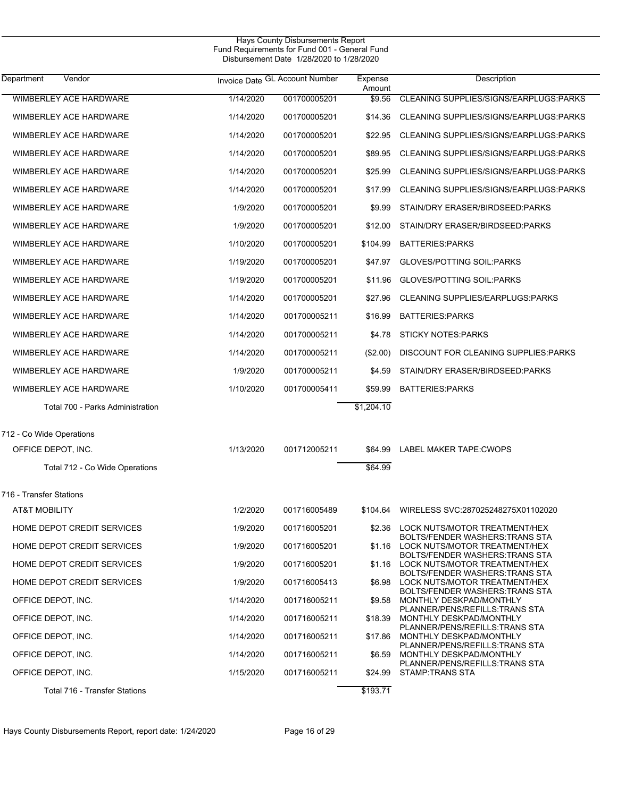| Department<br>Vendor             |           | Invoice Date GL Account Number | Expense<br>Amount | Description                                                             |
|----------------------------------|-----------|--------------------------------|-------------------|-------------------------------------------------------------------------|
| <b>WIMBERLEY ACE HARDWARE</b>    | 1/14/2020 | 001700005201                   | \$9.56            | CLEANING SUPPLIES/SIGNS/EARPLUGS:PARKS                                  |
| WIMBERLEY ACE HARDWARE           | 1/14/2020 | 001700005201                   | \$14.36           | CLEANING SUPPLIES/SIGNS/EARPLUGS:PARKS                                  |
| <b>WIMBERLEY ACE HARDWARE</b>    | 1/14/2020 | 001700005201                   | \$22.95           | CLEANING SUPPLIES/SIGNS/EARPLUGS:PARKS                                  |
| WIMBERLEY ACE HARDWARE           | 1/14/2020 | 001700005201                   | \$89.95           | CLEANING SUPPLIES/SIGNS/EARPLUGS:PARKS                                  |
| WIMBERLEY ACE HARDWARE           | 1/14/2020 | 001700005201                   | \$25.99           | CLEANING SUPPLIES/SIGNS/EARPLUGS:PARKS                                  |
| WIMBERLEY ACE HARDWARE           | 1/14/2020 | 001700005201                   | \$17.99           | CLEANING SUPPLIES/SIGNS/EARPLUGS:PARKS                                  |
| WIMBERLEY ACE HARDWARE           | 1/9/2020  | 001700005201                   | \$9.99            | STAIN/DRY ERASER/BIRDSEED:PARKS                                         |
| WIMBERLEY ACE HARDWARE           | 1/9/2020  | 001700005201                   | \$12.00           | STAIN/DRY ERASER/BIRDSEED:PARKS                                         |
| WIMBERLEY ACE HARDWARE           | 1/10/2020 | 001700005201                   | \$104.99          | <b>BATTERIES:PARKS</b>                                                  |
| WIMBERLEY ACE HARDWARE           | 1/19/2020 | 001700005201                   | \$47.97           | <b>GLOVES/POTTING SOIL:PARKS</b>                                        |
| WIMBERLEY ACE HARDWARE           | 1/19/2020 | 001700005201                   | \$11.96           | <b>GLOVES/POTTING SOIL:PARKS</b>                                        |
| WIMBERLEY ACE HARDWARE           | 1/14/2020 | 001700005201                   | \$27.96           | CLEANING SUPPLIES/EARPLUGS:PARKS                                        |
| WIMBERLEY ACE HARDWARE           | 1/14/2020 | 001700005211                   | \$16.99           | <b>BATTERIES:PARKS</b>                                                  |
| WIMBERLEY ACE HARDWARE           | 1/14/2020 | 001700005211                   | \$4.78            | <b>STICKY NOTES: PARKS</b>                                              |
| WIMBERLEY ACE HARDWARE           | 1/14/2020 | 001700005211                   | (\$2.00)          | DISCOUNT FOR CLEANING SUPPLIES: PARKS                                   |
| WIMBERLEY ACE HARDWARE           | 1/9/2020  | 001700005211                   | \$4.59            | STAIN/DRY ERASER/BIRDSEED:PARKS                                         |
| WIMBERLEY ACE HARDWARE           | 1/10/2020 | 001700005411                   | \$59.99           | <b>BATTERIES:PARKS</b>                                                  |
| Total 700 - Parks Administration |           |                                | \$1,204.10        |                                                                         |
| 712 - Co Wide Operations         |           |                                |                   |                                                                         |
| OFFICE DEPOT, INC.               | 1/13/2020 | 001712005211                   | \$64.99           | LABEL MAKER TAPE: CWOPS                                                 |
| Total 712 - Co Wide Operations   |           |                                | \$64.99           |                                                                         |
| 716 - Transfer Stations          |           |                                |                   |                                                                         |
| <b>AT&amp;T MOBILITY</b>         | 1/2/2020  | 001716005489                   | \$104.64          | WIRELESS SVC:287025248275X01102020                                      |
| HOME DEPOT CREDIT SERVICES       | 1/9/2020  | 001716005201                   | \$2.36            | LOCK NUTS/MOTOR TREATMENT/HEX<br><b>BOLTS/FENDER WASHERS: TRANS STA</b> |
| HOME DEPOT CREDIT SERVICES       | 1/9/2020  | 001716005201                   | \$1.16            | LOCK NUTS/MOTOR TREATMENT/HEX<br><b>BOLTS/FENDER WASHERS: TRANS STA</b> |
| HOME DEPOT CREDIT SERVICES       | 1/9/2020  | 001716005201                   | \$1.16            | LOCK NUTS/MOTOR TREATMENT/HEX<br><b>BOLTS/FENDER WASHERS: TRANS STA</b> |
| HOME DEPOT CREDIT SERVICES       | 1/9/2020  | 001716005413                   | \$6.98            | LOCK NUTS/MOTOR TREATMENT/HEX<br><b>BOLTS/FENDER WASHERS: TRANS STA</b> |
| OFFICE DEPOT, INC.               | 1/14/2020 | 001716005211                   | \$9.58            | MONTHLY DESKPAD/MONTHLY<br>PLANNER/PENS/REFILLS:TRANS STA               |
| OFFICE DEPOT, INC.               | 1/14/2020 | 001716005211                   | \$18.39           | MONTHLY DESKPAD/MONTHLY<br>PLANNER/PENS/REFILLS:TRANS STA               |
| OFFICE DEPOT, INC.               | 1/14/2020 | 001716005211                   | \$17.86           | MONTHLY DESKPAD/MONTHLY<br>PLANNER/PENS/REFILLS:TRANS STA               |
| OFFICE DEPOT, INC.               | 1/14/2020 | 001716005211                   | \$6.59            | MONTHLY DESKPAD/MONTHLY                                                 |
| OFFICE DEPOT, INC.               | 1/15/2020 | 001716005211                   | \$24.99           | PLANNER/PENS/REFILLS:TRANS STA<br><b>STAMP:TRANS STA</b>                |
| Total 716 - Transfer Stations    |           |                                | \$193.71          |                                                                         |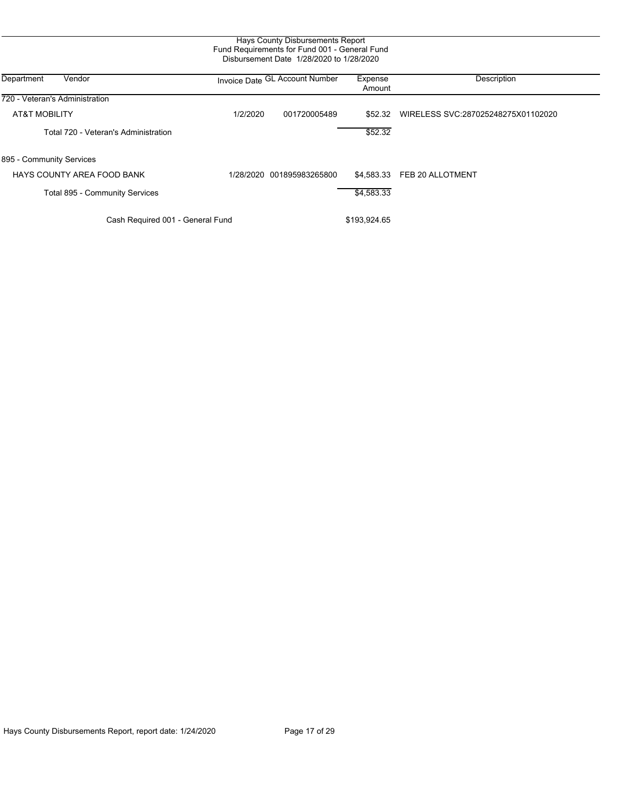|                                      |           | Hays County Disbursements Report<br>Fund Requirements for Fund 001 - General Fund<br>Disbursement Date 1/28/2020 to 1/28/2020 |                   |                                    |
|--------------------------------------|-----------|-------------------------------------------------------------------------------------------------------------------------------|-------------------|------------------------------------|
| Department<br>Vendor                 |           | Invoice Date GL Account Number                                                                                                | Expense<br>Amount | Description                        |
| 720 - Veteran's Administration       |           |                                                                                                                               |                   |                                    |
| <b>AT&amp;T MOBILITY</b>             | 1/2/2020  | 001720005489                                                                                                                  | \$52.32           | WIRELESS SVC:287025248275X01102020 |
| Total 720 - Veteran's Administration |           |                                                                                                                               | \$52.32           |                                    |
| 895 - Community Services             |           |                                                                                                                               |                   |                                    |
| HAYS COUNTY AREA FOOD BANK           | 1/28/2020 | 001895983265800                                                                                                               | \$4.583.33        | FEB 20 ALLOTMENT                   |
| Total 895 - Community Services       |           |                                                                                                                               | \$4,583.33        |                                    |
| Cash Required 001 - General Fund     |           |                                                                                                                               | \$193,924.65      |                                    |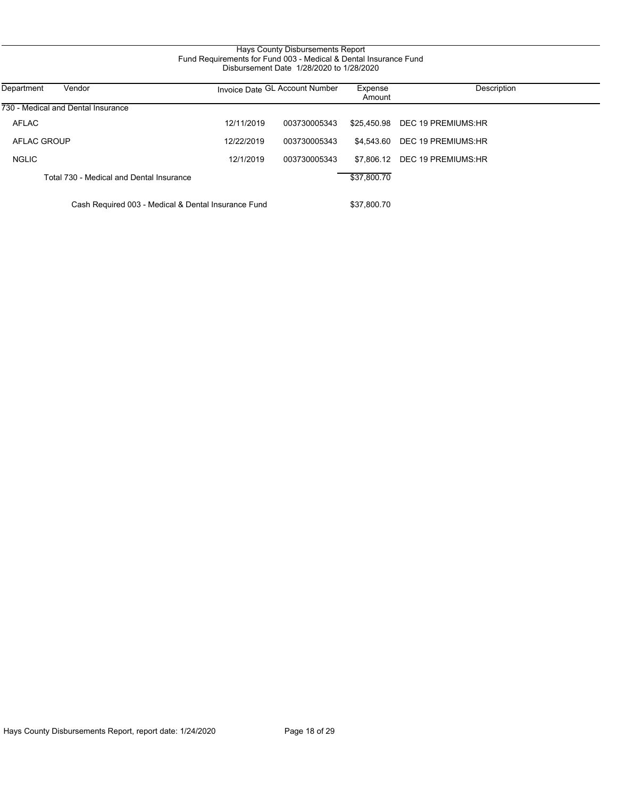#### Hays County Disbursements Report Fund Requirements for Fund 003 - Medical & Dental Insurance Fund Disbursement Date 1/28/2020 to 1/28/2020

| Vendor<br>Department                                |            | Invoice Date GL Account Number | Expense<br>Amount | Description                    |
|-----------------------------------------------------|------------|--------------------------------|-------------------|--------------------------------|
| 730 - Medical and Dental Insurance                  |            |                                |                   |                                |
| AFLAC                                               | 12/11/2019 | 003730005343                   |                   | \$25.450.98 DEC 19 PREMIUMS:HR |
| AFLAC GROUP                                         | 12/22/2019 | 003730005343                   |                   | \$4.543.60 DEC 19 PREMIUMS:HR  |
| <b>NGLIC</b>                                        | 12/1/2019  | 003730005343                   |                   | \$7,806.12 DEC 19 PREMIUMS:HR  |
| Total 730 - Medical and Dental Insurance            |            |                                | \$37,800.70       |                                |
| Cash Required 003 - Medical & Dental Insurance Fund |            |                                | \$37,800.70       |                                |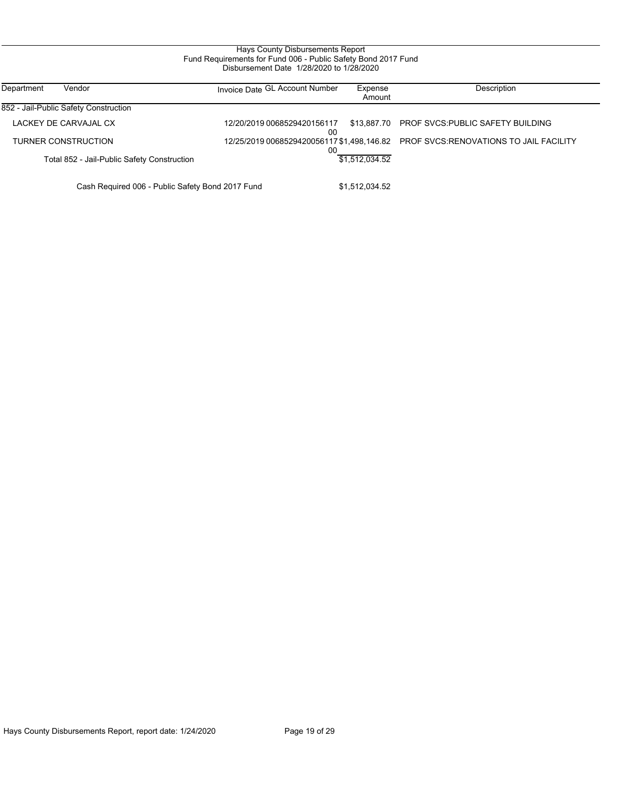#### Hays County Disbursements Report Fund Requirements for Fund 006 - Public Safety Bond 2017 Fund Disbursement Date 1/28/2020 to 1/28/2020

| Department<br>Vendor                             | Invoice Date GL Account Number    | Expense<br>Amount | Description                                                                        |
|--------------------------------------------------|-----------------------------------|-------------------|------------------------------------------------------------------------------------|
| 852 - Jail-Public Safety Construction            |                                   |                   |                                                                                    |
| LACKEY DE CARVAJAL CX                            | 12/20/2019 0068529420156117<br>00 | \$13.887.70       | <b>PROF SVCS:PUBLIC SAFETY BUILDING</b>                                            |
| TURNER CONSTRUCTION                              | 00                                |                   | 12/25/2019 0068529420056117 \$1,498,146.82  PROF SVCS:RENOVATIONS TO JAIL FACILITY |
| Total 852 - Jail-Public Safety Construction      |                                   | \$1.512.034.52    |                                                                                    |
| Cash Required 006 - Public Safety Bond 2017 Fund |                                   | \$1.512.034.52    |                                                                                    |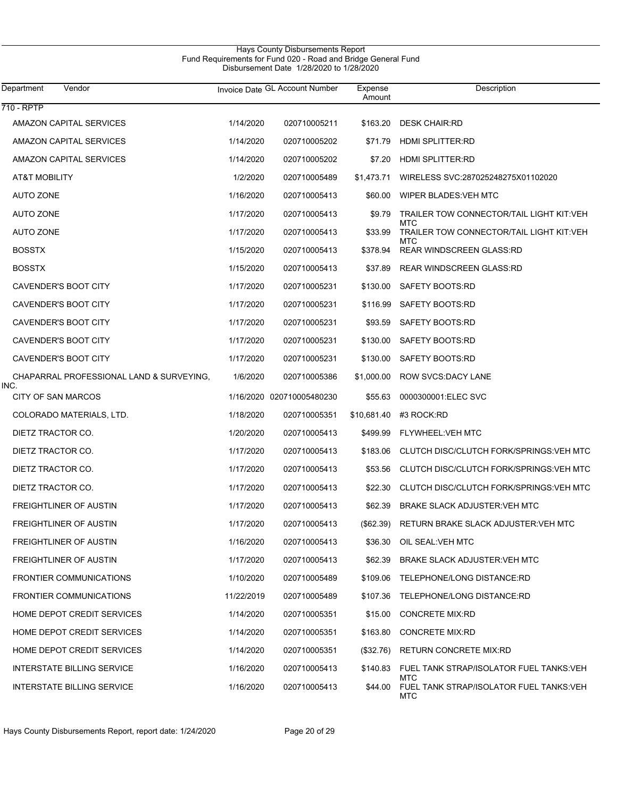| Department<br>Vendor                             |            | Invoice Date GL Account Number | Expense<br>Amount | Description                                            |
|--------------------------------------------------|------------|--------------------------------|-------------------|--------------------------------------------------------|
| 710 - RPTP                                       |            |                                |                   |                                                        |
| AMAZON CAPITAL SERVICES                          | 1/14/2020  | 020710005211                   | \$163.20          | <b>DESK CHAIR:RD</b>                                   |
| <b>AMAZON CAPITAL SERVICES</b>                   | 1/14/2020  | 020710005202                   | \$71.79           | <b>HDMI SPLITTER:RD</b>                                |
| <b>AMAZON CAPITAL SERVICES</b>                   | 1/14/2020  | 020710005202                   | \$7.20            | <b>HDMI SPLITTER:RD</b>                                |
| AT&T MOBILITY                                    | 1/2/2020   | 020710005489                   | \$1,473.71        | WIRELESS SVC:287025248275X01102020                     |
| <b>AUTO ZONE</b>                                 | 1/16/2020  | 020710005413                   | \$60.00           | WIPER BLADES: VEH MTC                                  |
| <b>AUTO ZONE</b>                                 | 1/17/2020  | 020710005413                   | \$9.79            | TRAILER TOW CONNECTOR/TAIL LIGHT KIT:VEH               |
| <b>AUTO ZONE</b>                                 | 1/17/2020  | 020710005413                   | \$33.99           | MTC<br>TRAILER TOW CONNECTOR/TAIL LIGHT KIT:VEH        |
| <b>BOSSTX</b>                                    | 1/15/2020  | 020710005413                   | \$378.94          | MTC<br><b>REAR WINDSCREEN GLASS:RD</b>                 |
| <b>BOSSTX</b>                                    | 1/15/2020  | 020710005413                   | \$37.89           | <b>REAR WINDSCREEN GLASS:RD</b>                        |
| <b>CAVENDER'S BOOT CITY</b>                      | 1/17/2020  | 020710005231                   | \$130.00          | SAFETY BOOTS:RD                                        |
| CAVENDER'S BOOT CITY                             | 1/17/2020  | 020710005231                   | \$116.99          | SAFETY BOOTS:RD                                        |
| CAVENDER'S BOOT CITY                             | 1/17/2020  | 020710005231                   | \$93.59           | SAFETY BOOTS:RD                                        |
| CAVENDER'S BOOT CITY                             | 1/17/2020  | 020710005231                   | \$130.00          | SAFETY BOOTS:RD                                        |
| <b>CAVENDER'S BOOT CITY</b>                      | 1/17/2020  | 020710005231                   | \$130.00          | SAFETY BOOTS:RD                                        |
| CHAPARRAL PROFESSIONAL LAND & SURVEYING,<br>INC. | 1/6/2020   | 020710005386                   | \$1,000.00        | <b>ROW SVCS:DACY LANE</b>                              |
| <b>CITY OF SAN MARCOS</b>                        |            | 1/16/2020 020710005480230      | \$55.63           | 0000300001:ELEC SVC                                    |
| COLORADO MATERIALS, LTD.                         | 1/18/2020  | 020710005351                   | \$10,681.40       | #3 ROCK:RD                                             |
| DIETZ TRACTOR CO.                                | 1/20/2020  | 020710005413                   | \$499.99          | FLYWHEEL: VEH MTC                                      |
| DIETZ TRACTOR CO.                                | 1/17/2020  | 020710005413                   | \$183.06          | CLUTCH DISC/CLUTCH FORK/SPRINGS:VEH MTC                |
| DIETZ TRACTOR CO.                                | 1/17/2020  | 020710005413                   | \$53.56           | CLUTCH DISC/CLUTCH FORK/SPRINGS:VEH MTC                |
| DIETZ TRACTOR CO.                                | 1/17/2020  | 020710005413                   | \$22.30           | CLUTCH DISC/CLUTCH FORK/SPRINGS:VEH MTC                |
| FREIGHTLINER OF AUSTIN                           | 1/17/2020  | 020710005413                   | \$62.39           | <b>BRAKE SLACK ADJUSTER: VEH MTC</b>                   |
| FREIGHTLINER OF AUSTIN                           | 1/17/2020  | 020710005413                   | $(\$62.39)$       | RETURN BRAKE SLACK ADJUSTER: VEH MTC                   |
| FREIGHTLINER OF AUSTIN                           | 1/16/2020  | 020710005413                   | \$36.30           | OIL SEAL: VEH MTC                                      |
| FREIGHTLINER OF AUSTIN                           | 1/17/2020  | 020710005413                   | \$62.39           | BRAKE SLACK ADJUSTER: VEH MTC                          |
| <b>FRONTIER COMMUNICATIONS</b>                   | 1/10/2020  | 020710005489                   | \$109.06          | TELEPHONE/LONG DISTANCE:RD                             |
| <b>FRONTIER COMMUNICATIONS</b>                   | 11/22/2019 | 020710005489                   | \$107.36          | TELEPHONE/LONG DISTANCE:RD                             |
| HOME DEPOT CREDIT SERVICES                       | 1/14/2020  | 020710005351                   | \$15.00           | <b>CONCRETE MIX:RD</b>                                 |
| HOME DEPOT CREDIT SERVICES                       | 1/14/2020  | 020710005351                   | \$163.80          | <b>CONCRETE MIX:RD</b>                                 |
| HOME DEPOT CREDIT SERVICES                       | 1/14/2020  | 020710005351                   | $(\$32.76)$       | RETURN CONCRETE MIX:RD                                 |
| INTERSTATE BILLING SERVICE                       | 1/16/2020  | 020710005413                   | \$140.83          | FUEL TANK STRAP/ISOLATOR FUEL TANKS:VEH                |
| INTERSTATE BILLING SERVICE                       | 1/16/2020  | 020710005413                   | \$44.00           | MTC<br>FUEL TANK STRAP/ISOLATOR FUEL TANKS: VEH<br>MTC |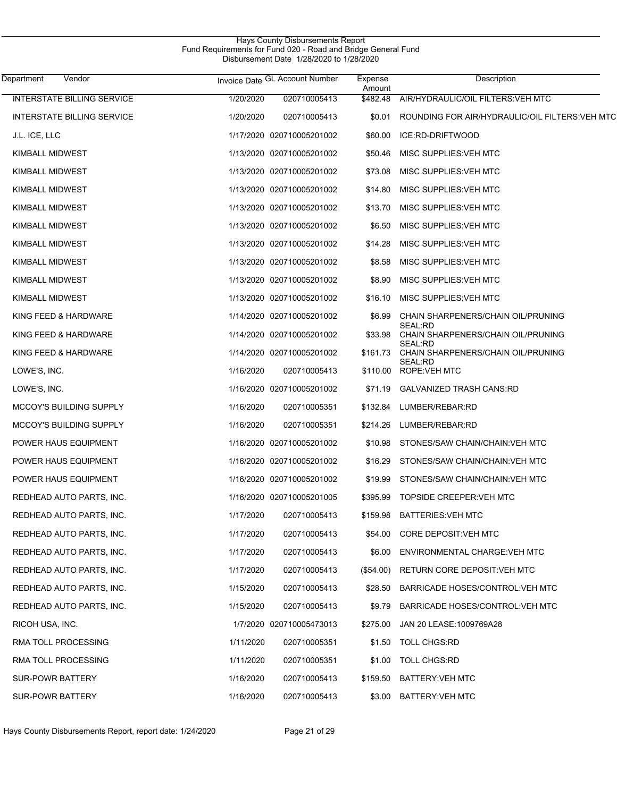| Hays County Disbursements Report                              |  |
|---------------------------------------------------------------|--|
| Fund Requirements for Fund 020 - Road and Bridge General Fund |  |
| Disbursement Date 1/28/2020 to 1/28/2020                      |  |

| Department<br>Vendor              |           | Invoice Date GL Account Number | Expense<br>Amount | Description                                    |
|-----------------------------------|-----------|--------------------------------|-------------------|------------------------------------------------|
| <b>INTERSTATE BILLING SERVICE</b> | 1/20/2020 | 020710005413                   | \$482.48          | AIR/HYDRAULIC/OIL FILTERS: VEH MTC             |
| INTERSTATE BILLING SERVICE        | 1/20/2020 | 020710005413                   | \$0.01            | ROUNDING FOR AIR/HYDRAULIC/OIL FILTERS:VEH MTC |
| J.L. ICE, LLC                     |           | 1/17/2020 020710005201002      | \$60.00           | ICE:RD-DRIFTWOOD                               |
| KIMBALL MIDWEST                   |           | 1/13/2020 020710005201002      | \$50.46           | MISC SUPPLIES: VEH MTC                         |
| KIMBALL MIDWEST                   |           | 1/13/2020 020710005201002      | \$73.08           | MISC SUPPLIES: VEH MTC                         |
| KIMBALL MIDWEST                   |           | 1/13/2020 020710005201002      | \$14.80           | MISC SUPPLIES: VEH MTC                         |
| KIMBALL MIDWEST                   |           | 1/13/2020 020710005201002      | \$13.70           | MISC SUPPLIES: VEH MTC                         |
| KIMBALL MIDWEST                   |           | 1/13/2020 020710005201002      | \$6.50            | MISC SUPPLIES: VEH MTC                         |
| KIMBALL MIDWEST                   |           | 1/13/2020 020710005201002      | \$14.28           | MISC SUPPLIES: VEH MTC                         |
| KIMBALL MIDWEST                   |           | 1/13/2020 020710005201002      | \$8.58            | MISC SUPPLIES: VEH MTC                         |
| KIMBALL MIDWEST                   |           | 1/13/2020 020710005201002      | \$8.90            | MISC SUPPLIES: VEH MTC                         |
| KIMBALL MIDWEST                   |           | 1/13/2020 020710005201002      | \$16.10           | MISC SUPPLIES: VEH MTC                         |
| KING FEED & HARDWARE              |           | 1/14/2020 020710005201002      | \$6.99            | CHAIN SHARPENERS/CHAIN OIL/PRUNING             |
| KING FEED & HARDWARE              |           | 1/14/2020 020710005201002      | \$33.98           | SEAL:RD<br>CHAIN SHARPENERS/CHAIN OIL/PRUNING  |
| KING FEED & HARDWARE              |           | 1/14/2020 020710005201002      | \$161.73          | SEAL:RD<br>CHAIN SHARPENERS/CHAIN OIL/PRUNING  |
| LOWE'S, INC.                      | 1/16/2020 | 020710005413                   | \$110.00          | SEAL:RD<br><b>ROPE:VEH MTC</b>                 |
| LOWE'S, INC.                      |           | 1/16/2020 020710005201002      | \$71.19           | <b>GALVANIZED TRASH CANS:RD</b>                |
| <b>MCCOY'S BUILDING SUPPLY</b>    | 1/16/2020 | 020710005351                   | \$132.84          | LUMBER/REBAR:RD                                |
| <b>MCCOY'S BUILDING SUPPLY</b>    | 1/16/2020 | 020710005351                   | \$214.26          | LUMBER/REBAR:RD                                |
| POWER HAUS EQUIPMENT              |           | 1/16/2020 020710005201002      | \$10.98           | STONES/SAW CHAIN/CHAIN: VEH MTC                |
| POWER HAUS EQUIPMENT              |           | 1/16/2020 020710005201002      | \$16.29           | STONES/SAW CHAIN/CHAIN: VEH MTC                |
| <b>POWER HAUS EQUIPMENT</b>       |           | 1/16/2020 020710005201002      | \$19.99           | STONES/SAW CHAIN/CHAIN: VEH MTC                |
| REDHEAD AUTO PARTS, INC.          |           | 1/16/2020 020710005201005      | \$395.99          | TOPSIDE CREEPER: VEH MTC                       |
| REDHEAD AUTO PARTS, INC.          | 1/17/2020 | 020710005413                   | \$159.98          | <b>BATTERIES: VEH MTC</b>                      |
| REDHEAD AUTO PARTS, INC.          | 1/17/2020 | 020710005413                   | \$54.00           | CORE DEPOSIT: VEH MTC                          |
| REDHEAD AUTO PARTS, INC.          | 1/17/2020 | 020710005413                   | \$6.00            | ENVIRONMENTAL CHARGE: VEH MTC                  |
| REDHEAD AUTO PARTS, INC.          | 1/17/2020 | 020710005413                   | (\$54.00)         | RETURN CORE DEPOSIT: VEH MTC                   |
| REDHEAD AUTO PARTS, INC.          | 1/15/2020 | 020710005413                   | \$28.50           | BARRICADE HOSES/CONTROL: VEH MTC               |
| REDHEAD AUTO PARTS, INC.          | 1/15/2020 | 020710005413                   | \$9.79            | BARRICADE HOSES/CONTROL: VEH MTC               |
| RICOH USA, INC.                   |           | 1/7/2020 020710005473013       | \$275.00          | JAN 20 LEASE: 1009769A28                       |
| RMA TOLL PROCESSING               | 1/11/2020 | 020710005351                   | \$1.50            | <b>TOLL CHGS:RD</b>                            |
| RMA TOLL PROCESSING               | 1/11/2020 | 020710005351                   | \$1.00            | <b>TOLL CHGS:RD</b>                            |
| <b>SUR-POWR BATTERY</b>           | 1/16/2020 | 020710005413                   | \$159.50          | BATTERY: VEH MTC                               |
| <b>SUR-POWR BATTERY</b>           | 1/16/2020 | 020710005413                   | \$3.00            | BATTERY: VEH MTC                               |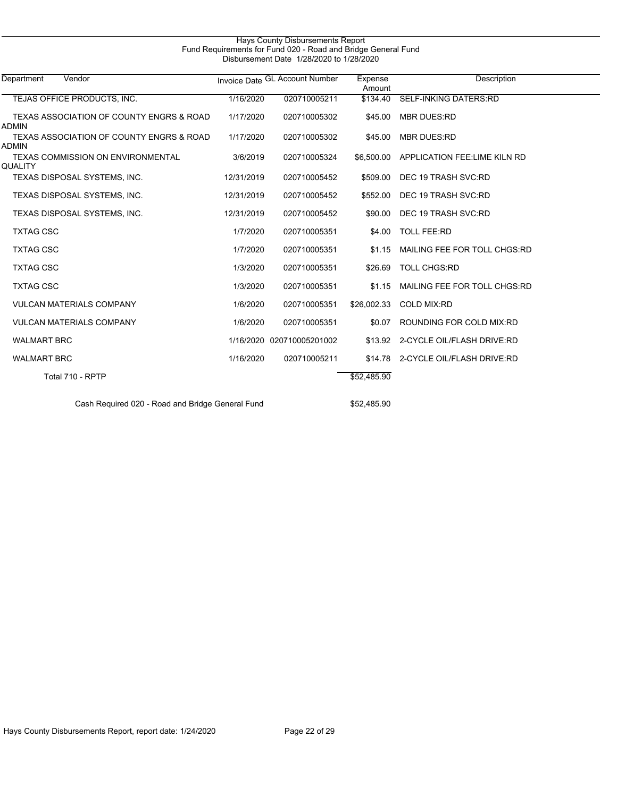| Department<br>Vendor |                                                  |            | Invoice Date GL Account Number | Expense<br>Amount | <b>Description</b>                 |  |
|----------------------|--------------------------------------------------|------------|--------------------------------|-------------------|------------------------------------|--|
|                      | TEJAS OFFICE PRODUCTS, INC.                      | 1/16/2020  | 020710005211                   | \$134.40          | <b>SELF-INKING DATERS:RD</b>       |  |
| <b>ADMIN</b>         | TEXAS ASSOCIATION OF COUNTY ENGRS & ROAD         | 1/17/2020  | 020710005302                   | \$45.00           | <b>MBR DUES:RD</b>                 |  |
| <b>ADMIN</b>         | TEXAS ASSOCIATION OF COUNTY ENGRS & ROAD         | 1/17/2020  | 020710005302                   | \$45.00           | <b>MBR DUES:RD</b>                 |  |
| QUALITY              | TEXAS COMMISSION ON ENVIRONMENTAL                | 3/6/2019   | 020710005324                   | \$6,500.00        | APPLICATION FEE:LIME KILN RD       |  |
|                      | TEXAS DISPOSAL SYSTEMS, INC.                     | 12/31/2019 | 020710005452                   | \$509.00          | DEC 19 TRASH SVC:RD                |  |
|                      | TEXAS DISPOSAL SYSTEMS, INC.                     | 12/31/2019 | 020710005452                   | \$552.00          | DEC 19 TRASH SVC:RD                |  |
|                      | TEXAS DISPOSAL SYSTEMS, INC.                     | 12/31/2019 | 020710005452                   | \$90.00           | DEC 19 TRASH SVC:RD                |  |
| <b>TXTAG CSC</b>     |                                                  | 1/7/2020   | 020710005351                   | \$4.00            | <b>TOLL FEE:RD</b>                 |  |
| <b>TXTAG CSC</b>     |                                                  | 1/7/2020   | 020710005351                   | \$1.15            | MAILING FEE FOR TOLL CHGS:RD       |  |
| <b>TXTAG CSC</b>     |                                                  | 1/3/2020   | 020710005351                   | \$26.69           | <b>TOLL CHGS:RD</b>                |  |
| <b>TXTAG CSC</b>     |                                                  | 1/3/2020   | 020710005351                   | \$1.15            | MAILING FEE FOR TOLL CHGS:RD       |  |
|                      | <b>VULCAN MATERIALS COMPANY</b>                  | 1/6/2020   | 020710005351                   | \$26,002.33       | <b>COLD MIX:RD</b>                 |  |
|                      | <b>VULCAN MATERIALS COMPANY</b>                  | 1/6/2020   | 020710005351                   | \$0.07            | ROUNDING FOR COLD MIX:RD           |  |
| <b>WALMART BRC</b>   |                                                  |            | 1/16/2020 020710005201002      |                   | \$13.92 2-CYCLE OIL/FLASH DRIVE:RD |  |
| <b>WALMART BRC</b>   |                                                  | 1/16/2020  | 020710005211                   |                   | \$14.78 2-CYCLE OIL/FLASH DRIVE:RD |  |
|                      | Total 710 - RPTP                                 |            |                                | \$52,485.90       |                                    |  |
|                      | Cash Required 020 - Road and Bridge General Fund |            |                                | \$52.485.90       |                                    |  |

Hays County Disbursements Report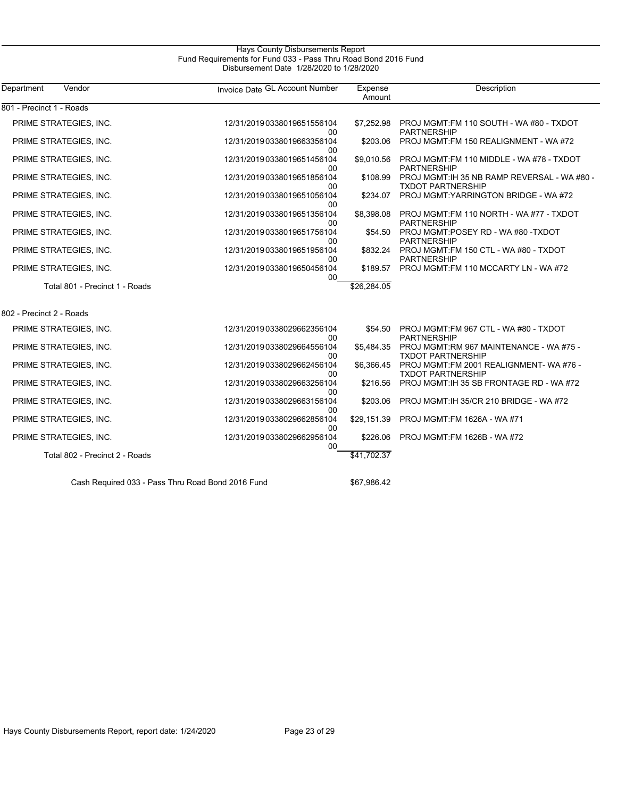#### Hays County Disbursements Report Fund Requirements for Fund 033 - Pass Thru Road Bond 2016 Fund Disbursement Date 1/28/2020 to 1/28/2020

| Department<br>Vendor           | Invoice Date GL Account Number   | Expense<br>Amount | Description                                                              |
|--------------------------------|----------------------------------|-------------------|--------------------------------------------------------------------------|
| 801 - Precinct 1 - Roads       |                                  |                   |                                                                          |
| PRIME STRATEGIES, INC.         | 12/31/20190338019651556104<br>00 | \$7.252.98        | PROJ MGMT:FM 110 SOUTH - WA #80 - TXDOT<br><b>PARTNERSHIP</b>            |
| PRIME STRATEGIES, INC.         | 12/31/20190338019663356104<br>00 | \$203.06          | PROJ MGMT:FM 150 REALIGNMENT - WA #72                                    |
| PRIME STRATEGIES, INC.         | 12/31/20190338019651456104<br>00 | \$9.010.56        | PROJ MGMT:FM 110 MIDDLE - WA #78 - TXDOT<br><b>PARTNERSHIP</b>           |
| PRIME STRATEGIES, INC.         | 12/31/20190338019651856104<br>00 | \$108.99          | PROJ MGMT: IH 35 NB RAMP REVERSAL - WA #80 -<br><b>TXDOT PARTNERSHIP</b> |
| PRIME STRATEGIES, INC.         | 12/31/20190338019651056104<br>00 | \$234.07          | PROJ MGMT: YARRINGTON BRIDGE - WA #72                                    |
| PRIME STRATEGIES, INC.         | 12/31/20190338019651356104<br>00 | \$8,398.08        | PROJ MGMT:FM 110 NORTH - WA #77 - TXDOT<br><b>PARTNERSHIP</b>            |
| PRIME STRATEGIES, INC.         | 12/31/20190338019651756104<br>00 | \$54.50           | PROJ MGMT:POSEY RD - WA #80 -TXDOT<br><b>PARTNERSHIP</b>                 |
| PRIME STRATEGIES, INC.         | 12/31/20190338019651956104<br>00 | \$832.24          | PROJ MGMT:FM 150 CTL - WA #80 - TXDOT<br><b>PARTNERSHIP</b>              |
| PRIME STRATEGIES, INC.         | 12/31/20190338019650456104<br>00 | \$189.57          | PROJ MGMT:FM 110 MCCARTY LN - WA #72                                     |
| Total 801 - Precinct 1 - Roads |                                  | \$26,284.05       |                                                                          |
| 802 - Precinct 2 - Roads       |                                  |                   |                                                                          |
| PRIME STRATEGIES, INC.         | 12/31/20190338029662356104<br>00 | \$54.50           | PROJ MGMT:FM 967 CTL - WA #80 - TXDOT<br><b>PARTNERSHIP</b>              |
| PRIME STRATEGIES, INC.         | 12/31/20190338029664556104<br>00 | \$5,484.35        | PROJ MGMT:RM 967 MAINTENANCE - WA #75 -<br><b>TXDOT PARTNERSHIP</b>      |
| PRIME STRATEGIES, INC.         | 12/31/20190338029662456104<br>00 | \$6.366.45        | PROJ MGMT:FM 2001 REALIGNMENT-WA#76 -<br><b>TXDOT PARTNERSHIP</b>        |
| PRIME STRATEGIES, INC.         | 12/31/20190338029663256104<br>00 | \$216.56          | PROJ MGMT: IH 35 SB FRONTAGE RD - WA #72                                 |
| PRIME STRATEGIES, INC.         | 12/31/20190338029663156104<br>00 | \$203.06          | PROJ MGMT: IH 35/CR 210 BRIDGE - WA#72                                   |
| PRIME STRATEGIES, INC.         | 12/31/20190338029662856104<br>00 | \$29,151.39       | PROJ MGMT:FM 1626A - WA #71                                              |
| PRIME STRATEGIES, INC.         | 12/31/20190338029662956104<br>00 | \$226.06          | PROJ MGMT:FM 1626B - WA #72                                              |
| Total 802 - Precinct 2 - Roads |                                  | \$41,702.37       |                                                                          |

Cash Required 033 - Pass Thru Road Bond 2016 Fund \$67,986.42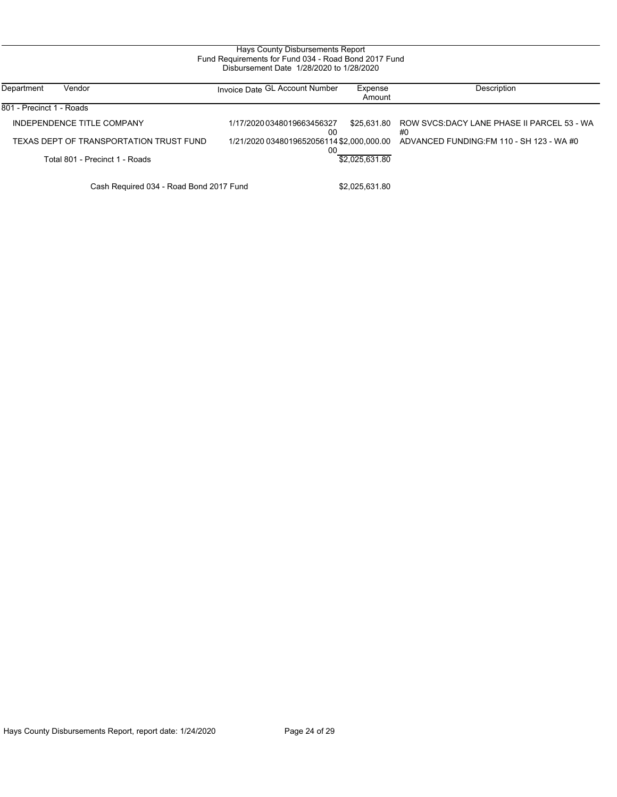| Department               | Vendor                                  | Invoice Date GL Account Number            | Expense        | Description                                      |
|--------------------------|-----------------------------------------|-------------------------------------------|----------------|--------------------------------------------------|
|                          |                                         |                                           | Amount         |                                                  |
| 801 - Precinct 1 - Roads |                                         |                                           |                |                                                  |
|                          | INDEPENDENCE TITLE COMPANY              | 1/17/2020 0348019663456327<br>00          | \$25.631.80    | ROW SVCS:DACY LANE PHASE II PARCEL 53 - WA<br>#0 |
|                          | TEXAS DEPT OF TRANSPORTATION TRUST FUND | 1/21/2020 0348019652056114 \$2,000,000.00 |                | ADVANCED FUNDING: FM 110 - SH 123 - WA #0        |
|                          | Total 801 - Precinct 1 - Roads          | 00                                        | \$2.025.631.80 |                                                  |
|                          | Cash Required 034 - Road Bond 2017 Fund |                                           | \$2.025.631.80 |                                                  |

Hays County Disbursements Report, report date: 1/24/2020 Page 24 of 29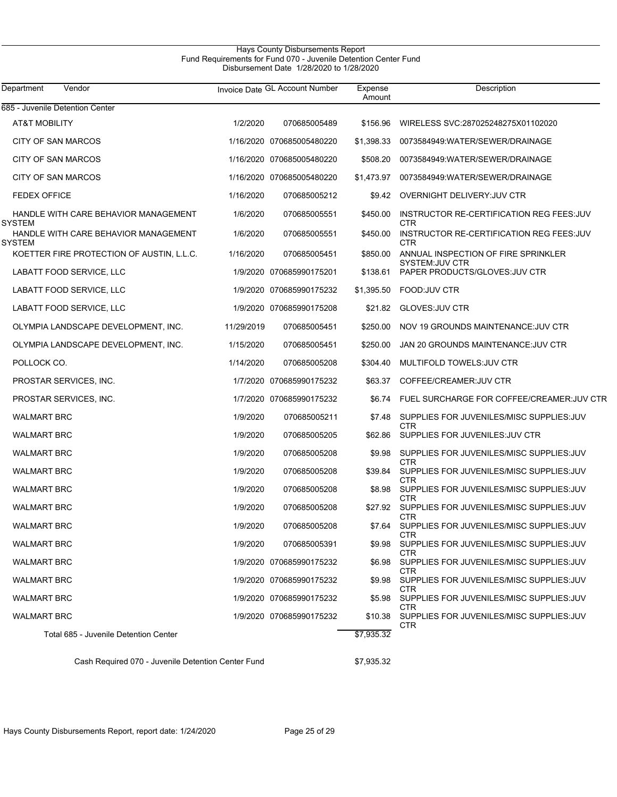#### Hays County Disbursements Report Fund Requirements for Fund 070 - Juvenile Detention Center Fund Disbursement Date 1/28/2020 to 1/28/2020

| Department<br>Vendor                             |            | Invoice Date GL Account Number | Expense<br>Amount | Description                                                     |
|--------------------------------------------------|------------|--------------------------------|-------------------|-----------------------------------------------------------------|
| 685 - Juvenile Detention Center                  |            |                                |                   |                                                                 |
| AT&T MOBILITY                                    | 1/2/2020   | 070685005489                   | \$156.96          | WIRELESS SVC:287025248275X01102020                              |
| CITY OF SAN MARCOS                               |            | 1/16/2020 070685005480220      | \$1.398.33        | 0073584949: WATER/SEWER/DRAINAGE                                |
| CITY OF SAN MARCOS                               |            | 1/16/2020 070685005480220      | \$508.20          | 0073584949:WATER/SEWER/DRAINAGE                                 |
| <b>CITY OF SAN MARCOS</b>                        |            | 1/16/2020 070685005480220      | \$1,473.97        | 0073584949:WATER/SEWER/DRAINAGE                                 |
| <b>FEDEX OFFICE</b>                              | 1/16/2020  | 070685005212                   |                   | \$9.42 OVERNIGHT DELIVERY: JUV CTR                              |
| HANDLE WITH CARE BEHAVIOR MANAGEMENT<br>SYSTEM   | 1/6/2020   | 070685005551                   | \$450.00          | INSTRUCTOR RE-CERTIFICATION REG FEES: JUV<br><b>CTR</b>         |
| HANDLE WITH CARE BEHAVIOR MANAGEMENT<br>SYSTEM   | 1/6/2020   | 070685005551                   | \$450.00          | INSTRUCTOR RE-CERTIFICATION REG FEES: JUV<br><b>CTR</b>         |
| KOETTER FIRE PROTECTION OF AUSTIN, L.L.C.        | 1/16/2020  | 070685005451                   | \$850.00          | ANNUAL INSPECTION OF FIRE SPRINKLER                             |
| LABATT FOOD SERVICE, LLC                         |            | 1/9/2020 070685990175201       | \$138.61          | <b>SYSTEM:JUV CTR</b><br>PAPER PRODUCTS/GLOVES: JUV CTR         |
| LABATT FOOD SERVICE, LLC                         |            | 1/9/2020 070685990175232       | \$1,395.50        | <b>FOOD:JUV CTR</b>                                             |
| LABATT FOOD SERVICE, LLC                         |            | 1/9/2020 070685990175208       | \$21.82           | <b>GLOVES: JUV CTR</b>                                          |
| OLYMPIA LANDSCAPE DEVELOPMENT, INC.              | 11/29/2019 | 070685005451                   | \$250.00          | NOV 19 GROUNDS MAINTENANCE: JUV CTR                             |
| OLYMPIA LANDSCAPE DEVELOPMENT, INC.              | 1/15/2020  | 070685005451                   | \$250.00          | JAN 20 GROUNDS MAINTENANCE: JUV CTR                             |
| POLLOCK CO.                                      | 1/14/2020  | 070685005208                   | \$304.40          | MULTIFOLD TOWELS: JUV CTR                                       |
| PROSTAR SERVICES, INC.                           |            | 1/7/2020 070685990175232       | \$63.37           | COFFEE/CREAMER: JUV CTR                                         |
| PROSTAR SERVICES, INC.                           |            | 1/7/2020 070685990175232       | \$6.74            | FUEL SURCHARGE FOR COFFEE/CREAMER: JUV CTR                      |
| <b>WALMART BRC</b>                               | 1/9/2020   | 070685005211                   | \$7.48            | SUPPLIES FOR JUVENILES/MISC SUPPLIES: JUV                       |
| <b>WALMART BRC</b>                               | 1/9/2020   | 070685005205                   | \$62.86           | CTR<br>SUPPLIES FOR JUVENILES: JUV CTR                          |
| <b>WALMART BRC</b>                               | 1/9/2020   | 070685005208                   | \$9.98            | SUPPLIES FOR JUVENILES/MISC SUPPLIES: JUV                       |
| <b>WALMART BRC</b>                               | 1/9/2020   | 070685005208                   | \$39.84           | CTR<br>SUPPLIES FOR JUVENILES/MISC SUPPLIES: JUV                |
| <b>WALMART BRC</b>                               | 1/9/2020   | 070685005208                   | \$8.98            | <b>CTR</b><br>SUPPLIES FOR JUVENILES/MISC SUPPLIES: JUV         |
| <b>WALMART BRC</b>                               | 1/9/2020   | 070685005208                   |                   | CTR<br>\$27.92 SUPPLIES FOR JUVENILES/MISC SUPPLIES: JUV<br>CTR |
| <b>WALMART BRC</b>                               | 1/9/2020   | 070685005208                   | \$7.64            | SUPPLIES FOR JUVENILES/MISC SUPPLIES: JUV<br><b>CTR</b>         |
| <b>WALMART BRC</b>                               | 1/9/2020   | 070685005391                   | \$9.98            | SUPPLIES FOR JUVENILES/MISC SUPPLIES: JUV                       |
| <b>WALMART BRC</b>                               |            | 1/9/2020 070685990175232       |                   | CTR<br>\$6.98 SUPPLIES FOR JUVENILES/MISC SUPPLIES:JUV          |
| <b>WALMART BRC</b>                               |            | 1/9/2020 070685990175232       |                   | <b>CTR</b><br>\$9.98 SUPPLIES FOR JUVENILES/MISC SUPPLIES: JUV  |
| <b>WALMART BRC</b>                               |            | 1/9/2020 070685990175232       |                   | CTR<br>\$5.98 SUPPLIES FOR JUVENILES/MISC SUPPLIES:JUV          |
| <b>WALMART BRC</b>                               |            | 1/9/2020 070685990175232       | \$10.38           | <b>CTR</b><br>SUPPLIES FOR JUVENILES/MISC SUPPLIES: JUV         |
| Total 685 - Juvenile Detention Center            |            |                                | \$7,935.32        | <b>CTR</b>                                                      |
| Coop Boquirod 070 Luvenile Detention Center Fund |            |                                | 2702522           |                                                                 |

Cash Required 070 - Juvenile Detention Center Fund \$7,935.32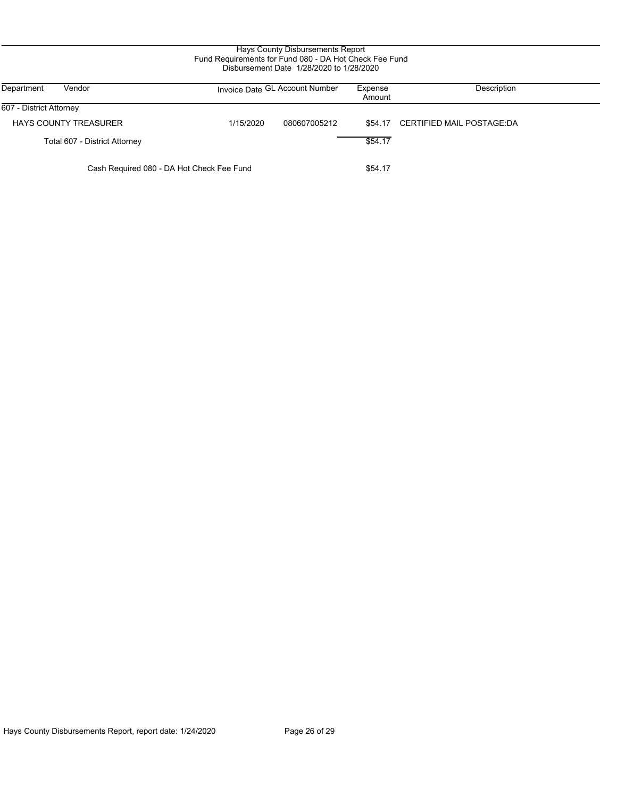| Vendor<br>Department                      |           | Invoice Date GL Account Number | Expense<br>Amount | Description                       |
|-------------------------------------------|-----------|--------------------------------|-------------------|-----------------------------------|
| 607 - District Attorney                   |           |                                |                   |                                   |
| <b>HAYS COUNTY TREASURER</b>              | 1/15/2020 | 080607005212                   |                   | \$54.17 CERTIFIED MAIL POSTAGE:DA |
| Total 607 - District Attorney             |           |                                | \$54.17           |                                   |
| Cash Required 080 - DA Hot Check Fee Fund |           |                                | \$54.17           |                                   |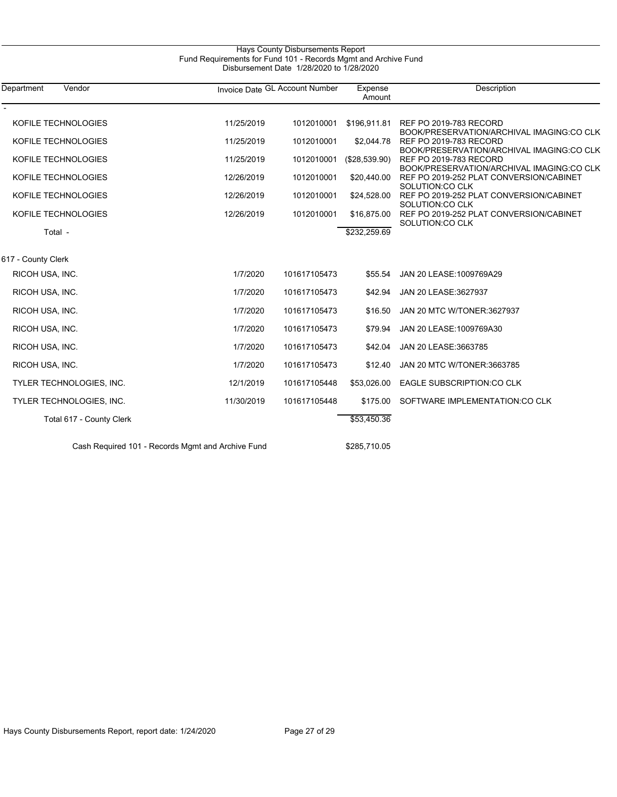| Vendor<br>Department                              |            | Invoice Date GL Account Number | Expense<br>Amount | Description                                                                          |
|---------------------------------------------------|------------|--------------------------------|-------------------|--------------------------------------------------------------------------------------|
| KOFILE TECHNOLOGIES                               | 11/25/2019 | 1012010001                     | \$196,911.81      | <b>REF PO 2019-783 RECORD</b><br>BOOK/PRESERVATION/ARCHIVAL IMAGING:CO CLK           |
| KOFILE TECHNOLOGIES                               | 11/25/2019 | 1012010001                     | \$2,044.78        | <b>REF PO 2019-783 RECORD</b>                                                        |
| KOFILE TECHNOLOGIES                               | 11/25/2019 | 1012010001                     | (\$28,539.90)     | BOOK/PRESERVATION/ARCHIVAL IMAGING:CO CLK<br>REF PO 2019-783 RECORD                  |
| KOFILE TECHNOLOGIES                               | 12/26/2019 | 1012010001                     | \$20,440.00       | BOOK/PRESERVATION/ARCHIVAL IMAGING:CO CLK<br>REF PO 2019-252 PLAT CONVERSION/CABINET |
| KOFILE TECHNOLOGIES                               | 12/26/2019 | 1012010001                     | \$24,528.00       | SOLUTION:CO CLK<br>REF PO 2019-252 PLAT CONVERSION/CABINET                           |
| KOFILE TECHNOLOGIES                               | 12/26/2019 | 1012010001                     | \$16,875.00       | SOLUTION:CO CLK<br>REF PO 2019-252 PLAT CONVERSION/CABINET                           |
| Total -                                           |            |                                | \$232,259.69      | SOLUTION:CO CLK                                                                      |
| 617 - County Clerk                                |            |                                |                   |                                                                                      |
| RICOH USA, INC.                                   | 1/7/2020   | 101617105473                   | \$55.54           | JAN 20 LEASE: 1009769A29                                                             |
| RICOH USA, INC.                                   | 1/7/2020   | 101617105473                   | \$42.94           | JAN 20 LEASE: 3627937                                                                |
| RICOH USA, INC.                                   | 1/7/2020   | 101617105473                   | \$16.50           | JAN 20 MTC W/TONER:3627937                                                           |
| RICOH USA, INC.                                   | 1/7/2020   | 101617105473                   | \$79.94           | JAN 20 LEASE: 1009769A30                                                             |
| RICOH USA, INC.                                   | 1/7/2020   | 101617105473                   | \$42.04           | JAN 20 LEASE: 3663785                                                                |
| RICOH USA, INC.                                   | 1/7/2020   | 101617105473                   | \$12.40           | JAN 20 MTC W/TONER:3663785                                                           |
| TYLER TECHNOLOGIES, INC.                          | 12/1/2019  | 101617105448                   | \$53,026.00       | EAGLE SUBSCRIPTION:CO CLK                                                            |
| TYLER TECHNOLOGIES, INC.                          | 11/30/2019 | 101617105448                   | \$175.00          | SOFTWARE IMPLEMENTATION:CO CLK                                                       |
| Total 617 - County Clerk                          |            |                                | \$53,450.36       |                                                                                      |
| Cash Required 101 - Records Mamt and Archive Fund |            |                                | \$285,710.05      |                                                                                      |

#### Hays County Disbursements Report Fund Requirements for Fund 101 - Records Mgmt and Archive Fund Disbursement Date 1/28/2020 to 1/28/2020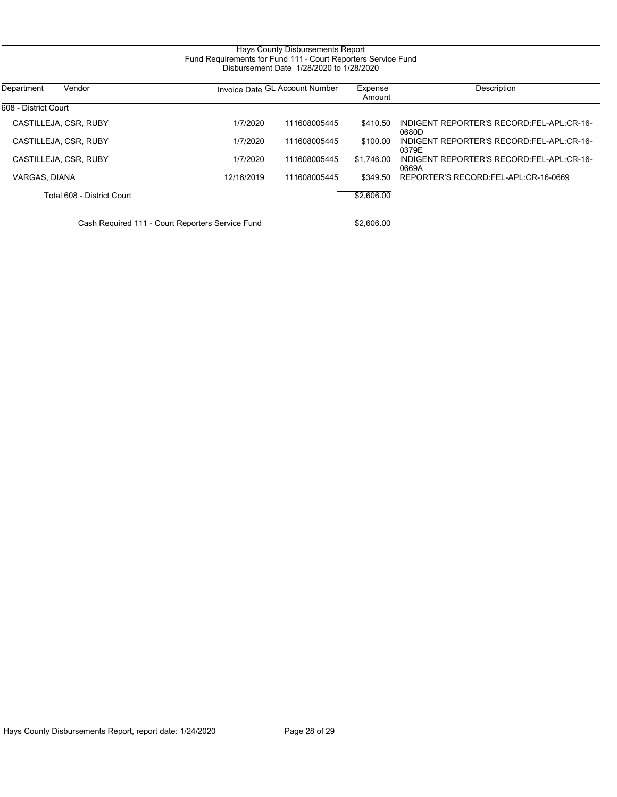#### Hays County Disbursements Report Fund Requirements for Fund 111 - Court Reporters Service Fund Disbursement Date 1/28/2020 to 1/28/2020

| Vendor<br>Department                           |            | Invoice Date GL Account Number | Expense<br>Amount | Description                                        |
|------------------------------------------------|------------|--------------------------------|-------------------|----------------------------------------------------|
| 608 - District Court                           |            |                                |                   |                                                    |
| CASTILLEJA, CSR, RUBY                          | 1/7/2020   | 111608005445                   | \$410.50          | INDIGENT REPORTER'S RECORD:FEL-APL:CR-16-<br>0680D |
| CASTILLEJA, CSR, RUBY                          | 1/7/2020   | 111608005445                   | \$100.00          | INDIGENT REPORTER'S RECORD:FEL-APL:CR-16-<br>0379E |
| CASTILLEJA, CSR, RUBY                          | 1/7/2020   | 111608005445                   | \$1.746.00        | INDIGENT REPORTER'S RECORD:FEL-APL:CR-16-<br>0669A |
| VARGAS, DIANA                                  | 12/16/2019 | 111608005445                   | \$349.50          | REPORTER'S RECORD:FEL-APL:CR-16-0669               |
| Total 608 - District Court                     |            |                                | \$2,606.00        |                                                    |
| Coop Deguised 111 Court Departers Convice Fund |            |                                | mo coc oo         |                                                    |

Cash Required 111 - Court Reporters Service Fund  $$2,606.00$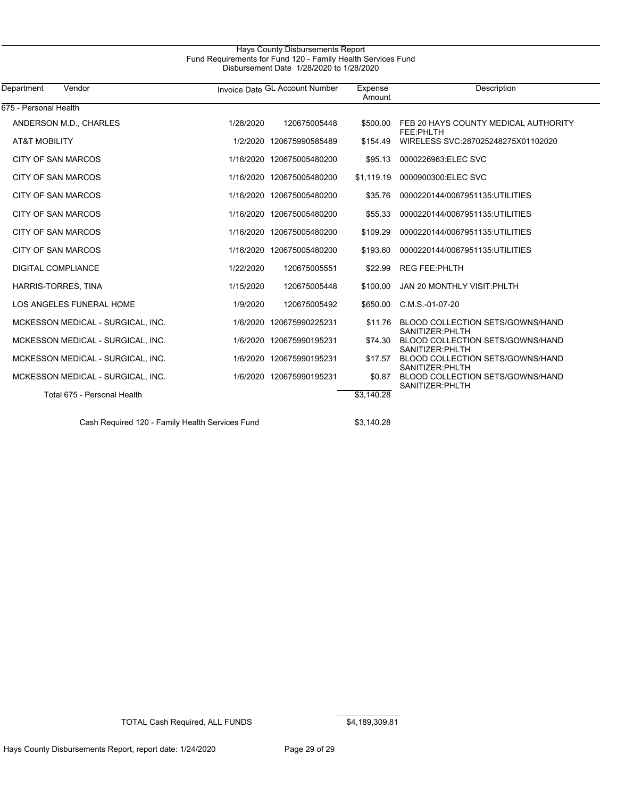#### Hays County Disbursements Report Fund Requirements for Fund 120 - Family Health Services Fund Disbursement Date 1/28/2020 to 1/28/2020

| Department<br>Vendor                            |           | Invoice Date GL Account Number | Expense<br>Amount | Description                                                 |
|-------------------------------------------------|-----------|--------------------------------|-------------------|-------------------------------------------------------------|
| 675 - Personal Health                           |           |                                |                   |                                                             |
| ANDERSON M.D., CHARLES                          | 1/28/2020 | 120675005448                   | \$500.00          | FEB 20 HAYS COUNTY MEDICAL AUTHORITY<br>FEE:PHLTH           |
| <b>AT&amp;T MOBILITY</b>                        |           | 1/2/2020 120675990585489       | \$154.49          | WIRELESS SVC:287025248275X01102020                          |
| <b>CITY OF SAN MARCOS</b>                       |           | 1/16/2020 120675005480200      | \$95.13           | 0000226963:ELEC SVC                                         |
| CITY OF SAN MARCOS                              |           | 1/16/2020 120675005480200      | \$1,119.19        | 0000900300:ELEC SVC                                         |
| <b>CITY OF SAN MARCOS</b>                       |           | 1/16/2020 120675005480200      | \$35.76           | 0000220144/0067951135:UTILITIES                             |
| <b>CITY OF SAN MARCOS</b>                       |           | 1/16/2020 120675005480200      | \$55.33           | 0000220144/0067951135:UTILITIES                             |
| <b>CITY OF SAN MARCOS</b>                       |           | 1/16/2020 120675005480200      | \$109.29          | 0000220144/0067951135:UTILITIES                             |
| CITY OF SAN MARCOS                              |           | 1/16/2020 120675005480200      | \$193.60          | 0000220144/0067951135:UTILITIES                             |
| <b>DIGITAL COMPLIANCE</b>                       | 1/22/2020 | 120675005551                   | \$22.99           | <b>REG FEE: PHLTH</b>                                       |
| HARRIS-TORRES, TINA                             | 1/15/2020 | 120675005448                   | \$100.00          | <b>JAN 20 MONTHLY VISIT: PHLTH</b>                          |
| LOS ANGELES FUNERAL HOME                        | 1/9/2020  | 120675005492                   | \$650.00          | C.M.S.-01-07-20                                             |
| MCKESSON MEDICAL - SURGICAL, INC.               |           | 1/6/2020 120675990225231       | \$11.76           | <b>BLOOD COLLECTION SETS/GOWNS/HAND</b><br>SANITIZER: PHLTH |
| MCKESSON MEDICAL - SURGICAL, INC.               |           | 1/6/2020 120675990195231       | \$74.30           | BLOOD COLLECTION SETS/GOWNS/HAND<br>SANITIZER: PHLTH        |
| MCKESSON MEDICAL - SURGICAL, INC.               |           | 1/6/2020 120675990195231       | \$17.57           | <b>BLOOD COLLECTION SETS/GOWNS/HAND</b><br>SANITIZER: PHLTH |
| MCKESSON MEDICAL - SURGICAL, INC.               |           | 1/6/2020 120675990195231       | \$0.87            | BLOOD COLLECTION SETS/GOWNS/HAND<br>SANITIZER: PHLTH        |
| Total 675 - Personal Health                     |           |                                | \$3.140.28        |                                                             |
| Cash Required 120 - Family Health Services Fund |           |                                | \$3.140.28        |                                                             |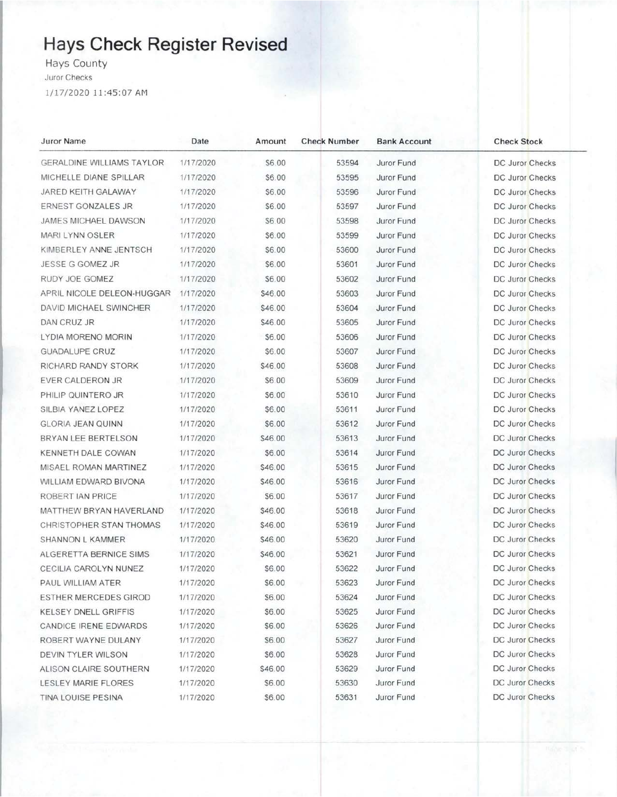## Hays Check Register Revised

Hays County

Juror Checks

1/17/2020 11:45:07 AM

| Juror Name                       | Date      | Amount  | <b>Check Number</b> | <b>Bank Account</b> | <b>Check Stock</b>     |
|----------------------------------|-----------|---------|---------------------|---------------------|------------------------|
| <b>GERALDINE WILLIAMS TAYLOR</b> | 1/17/2020 | \$6.00  | 53594               | Juror Fund          | DC Juror Checks        |
| MICHELLE DIANE SPILLAR           | 1/17/2020 | \$6.00  | 53595               | Juror Fund          | DC Juror Checks        |
| JARED KEITH GALAWAY              | 1/17/2020 | \$6.00  | 53596               | Juror Fund          | DC Juror Checks        |
| <b>ERNEST GONZALES JR</b>        | 1/17/2020 | \$6.00  | 53597               | Juror Fund          | DC Juror Checks        |
| JAMES MICHAEL DAWSON             | 1/17/2020 | \$6.00  | 53598               | Juror Fund          | DC Juror Checks        |
| MARI LYNN OSLER                  | 1/17/2020 | \$6.00  | 53599               | Juror Fund          | DC Juror Checks        |
| KIMBERLEY ANNE JENTSCH           | 1/17/2020 | \$6.00  | 53600               | Juror Fund          | <b>DC Juror Checks</b> |
| JESSE G GOMEZ JR                 | 1/17/2020 | \$6.00  | 53601               | Juror Fund          | <b>DC Juror Checks</b> |
| RUDY JOE GOMEZ                   | 1/17/2020 | \$6.00  | 53602               | Juror Fund          | DC Juror Checks        |
| APRIL NICOLE DELEON-HUGGAR       | 1/17/2020 | \$46.00 | 53603               | Juror Fund          | DC Juror Checks        |
| DAVID MICHAEL SWINCHER           | 1/17/2020 | \$46.00 | 53604               | Juror Fund          | DC Juror Checks        |
| DAN CRUZ JR                      | 1/17/2020 | \$46.00 | 53605               | Juror Fund          | <b>DC Juror Checks</b> |
| LYDIA MORENO MORIN               | 1/17/2020 | \$6.00  | 53606               | Juror Fund          | DC Juror Checks        |
| <b>GUADALUPE CRUZ</b>            | 1/17/2020 | \$6.00  | 53607               | Juror Fund          | <b>DC Juror Checks</b> |
| RICHARD RANDY STORK              | 1/17/2020 | \$46.00 | 53608               | Juror Fund          | DC Juror Checks        |
| EVER CALDERON JR                 | 1/17/2020 | \$6.00  | 53609               | Juror Fund          | DC Juror Checks        |
| PHILIP QUINTERO JR               | 1/17/2020 | \$6.00  | 53610               | Juror Fund          | DC Juror Checks        |
| SILBIA YANEZ LOPEZ               | 1/17/2020 | \$6.00  | 53611               | Juror Fund          | <b>DC Juror Checks</b> |
| <b>GLORIA JEAN QUINN</b>         | 1/17/2020 | \$6.00  | 53612               | Juror Fund          | DC Juror Checks        |
| BRYAN LEE BERTELSON              | 1/17/2020 | \$46.00 | 53613               | Juror Fund          | <b>DC Juror Checks</b> |
| KENNETH DALE COWAN               | 1/17/2020 | \$6.00  | 53614               | Juror Fund          | DC Juror Checks        |
| MISAEL ROMAN MARTINEZ            | 1/17/2020 | \$46.00 | 53615               | Juror Fund          | <b>DC Juror Checks</b> |
| WILLIAM EDWARD BIVONA            | 1/17/2020 | \$46.00 | 53616               | Juror Fund          | DC Juror Checks        |
| ROBERT IAN PRICE                 | 1/17/2020 | \$6.00  | 53617               | Juror Fund          | <b>DC Juror Checks</b> |
| MATTHEW BRYAN HAVERLAND          | 1/17/2020 | \$46.00 | 53618               | Juror Fund          | DC Juror Checks        |
| CHRISTOPHER STAN THOMAS          | 1/17/2020 | \$46.00 | 53619               | Juror Fund          | DC Juror Checks        |
| SHANNON L KAMMER                 | 1/17/2020 | \$46.00 | 53620               | Juror Fund          | <b>DC Juror Checks</b> |
| ALGERETTA BERNICE SIMS           | 1/17/2020 | \$46.00 | 53621               | Juror Fund          | <b>DC Juror Checks</b> |
| CECILIA CAROLYN NUNEZ            | 1/17/2020 | \$6.00  | 53622               | Juror Fund          | DC Juror Checks        |
| PAUL WILLIAM ATER                | 1/17/2020 | \$6.00  | 53623               | Juror Fund          | DC Juror Checks        |
| ESTHER MERCEDES GIROD            | 1/17/2020 | \$6.00  | 53624               | Juror Fund          | DC Juror Checks        |
| <b>KELSEY DNELL GRIFFIS</b>      | 1/17/2020 | \$6.00  | 53625               | Juror Fund          | DC Juror Checks        |
| CANDICE IRENE EDWARDS            | 1/17/2020 | \$6.00  | 53626               | Juror Fund          | DC Juror Checks        |
| ROBERT WAYNE DULANY              | 1/17/2020 | \$6.00  | 53627               | Juror Fund          | DC Juror Checks        |
| DEVIN TYLER WILSON               | 1/17/2020 | \$6.00  | 53628               | Juror Fund          | DC Juror Checks        |
| ALISON CLAIRE SOUTHERN           | 1/17/2020 | \$46.00 | 53629               | Juror Fund          | DC Juror Checks        |
| <b>LESLEY MARIE FLORES</b>       | 1/17/2020 | \$6.00  | 53630               | Juror Fund          | DC Juror Checks        |
| TINA LOUISE PESINA               | 1/17/2020 | \$6.00  | 53631               | Juror Fund          | DC Juror Checks        |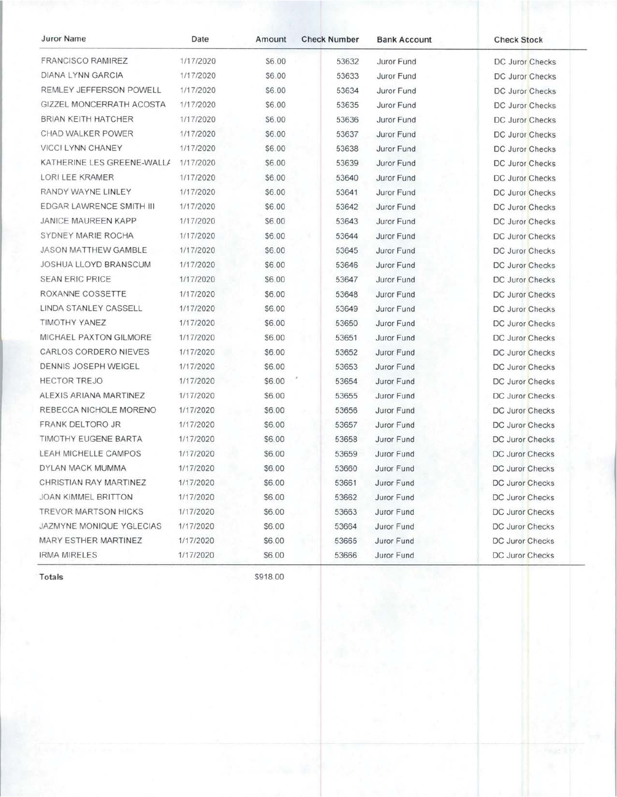| <b>Juror Name</b>            | Date      | Amount | <b>Check Number</b> | <b>Bank Account</b> | <b>Check Stock</b>     |
|------------------------------|-----------|--------|---------------------|---------------------|------------------------|
| FRANCISCO RAMIREZ            | 1/17/2020 | \$6.00 | 53632               | Juror Fund          | DC Juror Checks        |
| DIANA LYNN GARCIA            | 1/17/2020 | \$6.00 | 53633               | Juror Fund          | DC Juror Checks        |
| REMLEY JEFFERSON POWELL      | 1/17/2020 | \$6.00 | 53634               | Juror Fund          | DC Juror Checks        |
| GIZZEL MONCERRATH ACOSTA     | 1/17/2020 | \$6.00 | 53635               | Juror Fund          | DC Juror Checks        |
| BRIAN KEITH HATCHER          | 1/17/2020 | \$6.00 | 53636               | Juror Fund          | DC Juror Checks        |
| CHAD WALKER POWER            | 1/17/2020 | \$6.00 | 53637               | Juror Fund          | DC Juror Checks        |
| VICCI LYNN CHANEY            | 1/17/2020 | \$6.00 | 53638               | Juror Fund          | DC Juror Checks        |
| KATHERINE LES GREENE-WALL/   | 1/17/2020 | \$6.00 | 53639               | Juror Fund          | DC Juror Checks        |
| LORI LEE KRAMER              | 1/17/2020 | \$6.00 | 53640               | Juror Fund          | DC Juror Checks        |
| RANDY WAYNE LINLEY           | 1/17/2020 | \$6.00 | 53641               | Juror Fund          | DC Juror Checks        |
| EDGAR LAWRENCE SMITH III     | 1/17/2020 | \$6.00 | 53642               | Juror Fund          | DC Juror Checks        |
| <b>JANICE MAUREEN KAPP</b>   | 1/17/2020 | \$6.00 | 53643               | Juror Fund          | DC Juror Checks        |
| SYDNEY MARIE ROCHA           | 1/17/2020 | \$6.00 | 53644               | Juror Fund          | <b>DC Juror Checks</b> |
| <b>JASON MATTHEW GAMBLE</b>  | 1/17/2020 | \$6.00 | 53645               | Juror Fund          | <b>DC Juror Checks</b> |
| <b>JOSHUA LLOYD BRANSCUM</b> | 1/17/2020 | \$6.00 | 53646               | Juror Fund          | <b>DC Juror Checks</b> |
| <b>SEAN ERIC PRICE</b>       | 1/17/2020 | \$6.00 | 53647               | Juror Fund          | DC Juror Checks        |
| ROXANNE COSSETTE             | 1/17/2020 | \$6.00 | 53648               | Juror Fund          | <b>DC Juror Checks</b> |
| LINDA STANLEY CASSELL        | 1/17/2020 | \$6.00 | 53649               | Juror Fund          | <b>DC Juror Checks</b> |
| TIMOTHY YANEZ                | 1/17/2020 | \$6.00 | 53650               | Juror Fund          | DC Juror Checks        |
| MICHAEL PAXTON GILMORE       | 1/17/2020 | \$6.00 | 53651               | Juror Fund          | DC Juror Checks        |
| CARLOS CORDERO NIEVES        | 1/17/2020 | \$6.00 | 53652               | Juror Fund          | DC Juror Checks        |
| DENNIS JOSEPH WEIGEL         | 1/17/2020 | \$6.00 | 53653               | Juror Fund          | DC Juror Checks        |
| <b>HECTOR TREJO</b>          | 1/17/2020 | \$6.00 | 53654               | Juror Fund          | <b>DC Juror Checks</b> |
| ALEXIS ARIANA MARTINEZ       | 1/17/2020 | \$6.00 | 53655               | Juror Fund          | DC Juror Checks        |
| REBECCA NICHOLE MORENO       | 1/17/2020 | \$6.00 | 53656               | Juror Fund          | DC Juror Checks        |
| FRANK DELTORO JR             | 1/17/2020 | \$6.00 | 53657               | Juror Fund          | DC Juror Checks        |
| <b>TIMOTHY EUGENE BARTA</b>  | 1/17/2020 | \$6.00 | 53658               | Juror Fund          | <b>DC Juror Checks</b> |
| LEAH MICHELLE CAMPOS         | 1/17/2020 | \$6.00 | 53659               | Juror Fund          | DC Juror Checks        |
| DYLAN MACK MUMMA             | 1/17/2020 | \$6.00 | 53660               | Juror Fund          | DC Juror Checks        |
| CHRISTIAN RAY MARTINEZ       | 1/17/2020 | \$6.00 | 53661               | Juror Fund          | DC Juror Checks        |
| <b>JOAN KIMMEL BRITTON</b>   | 1/17/2020 | \$6.00 | 53662               | Juror Fund          | DC Juror Checks        |
| <b>TREVOR MARTSON HICKS</b>  | 1/17/2020 | \$6.00 | 53663               | Juror Fund          | DC Juror Checks        |
| JAZMYNE MONIQUE YGLECIAS     | 1/17/2020 | \$6.00 | 53664               | Juror Fund          | <b>DC Juror Checks</b> |
| MARY ESTHER MARTINEZ         | 1/17/2020 | \$6.00 | 53665               | Juror Fund          | DC Juror Checks        |
| IRMA MIRELES                 | 1/17/2020 | \$6.00 | 53666               | Juror Fund          | DC Juror Checks        |

Totals

\$918.00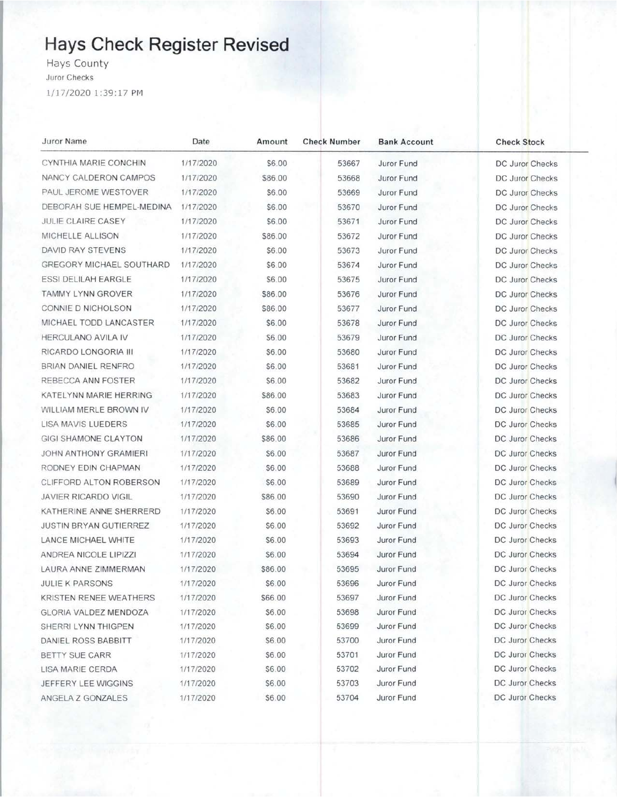# **Hays Check Register Revised**

Hays County Juror Checks

1/17/2020 1:39:17 PM

| Juror Name                     | Date      | Amount  | <b>Check Number</b> | <b>Bank Account</b> | <b>Check Stock</b>     |
|--------------------------------|-----------|---------|---------------------|---------------------|------------------------|
| CYNTHIA MARIE CONCHIN          | 1/17/2020 | \$6.00  | 53667               | Juror Fund          | DC Juror Checks        |
| NANCY CALDERON CAMPOS          | 1/17/2020 | \$86.00 | 53668               | Juror Fund          | DC Juror Checks        |
| PAUL JEROME WESTOVER           | 1/17/2020 | \$6.00  | 53669               | Juror Fund          | DC Juror Checks        |
| DEBORAH SUE HEMPEL-MEDINA      | 1/17/2020 | \$6.00  | 53670               | Juror Fund          | DC Juror Checks        |
| JULIE CLAIRE CASEY             | 1/17/2020 | \$6.00  | 53671               | Juror Fund          | DC Juror Checks        |
| MICHELLE ALLISON               | 1/17/2020 | \$86.00 | 53672               | Juror Fund          | DC Juror Checks        |
| DAVID RAY STEVENS              | 1/17/2020 | \$6.00  | 53673               | Juror Fund          | DC Juror Checks        |
| GREGORY MICHAEL SOUTHARD       | 1/17/2020 | \$6.00  | 53674               | Juror Fund          | <b>DC Juror Checks</b> |
| <b>ESSI DELILAH EARGLE</b>     | 1/17/2020 | \$6.00  | 53675               | Juror Fund          | DC Juror Checks        |
| TAMMY LYNN GROVER              | 1/17/2020 | \$86.00 | 53676               | Juror Fund          | DC Juror Checks        |
| CONNIE D NICHOLSON             | 1/17/2020 | \$86.00 | 53677               | Juror Fund          | <b>DC Juror Checks</b> |
| MICHAEL TODD LANCASTER         | 1/17/2020 | \$6.00  | 53678               | Juror Fund          | DC Juror Checks        |
| HERCULANO AVILA IV             | 1/17/2020 | \$6.00  | 53679               | Juror Fund          | DC Juror Checks        |
| RICARDO LONGORIA III           | 1/17/2020 | \$6.00  | 53680               | Juror Fund          | DC Juror Checks        |
| BRIAN DANIEL RENFRO            | 1/17/2020 | \$6.00  | 53681               | Juror Fund          | DC Juror Checks        |
| REBECCA ANN FOSTER             | 1/17/2020 | \$6.00  | 53682               | Juror Fund          | DC Juror Checks        |
| KATELYNN MARIE HERRING         | 1/17/2020 | \$86.00 | 53683               | Juror Fund          | <b>DC Juror Checks</b> |
| WILLIAM MERLE BROWN IV         | 1/17/2020 | \$6.00  | 53684               | Juror Fund          | DC Juror Checks        |
| LISA MAVIS LUEDERS             | 1/17/2020 | \$6.00  | 53685               | Juror Fund          | DC Juror Checks        |
| <b>GIGI SHAMONE CLAYTON</b>    | 1/17/2020 | \$86.00 | 53686               | Juror Fund          | DC Juror Checks        |
| <b>JOHN ANTHONY GRAMIERI</b>   | 1/17/2020 | \$6.00  | 53687               | Juror Fund          | DC Juror Checks        |
| RODNEY EDIN CHAPMAN            | 1/17/2020 | \$6.00  | 53688               | Juror Fund          | <b>DC Juror Checks</b> |
| <b>CLIFFORD ALTON ROBERSON</b> | 1/17/2020 | \$6.00  | 53689               | Juror Fund          | DC Juror Checks        |
| <b>JAVIER RICARDO VIGIL</b>    | 1/17/2020 | \$86.00 | 53690               | Juror Fund          | DC Juror Checks        |
| KATHERINE ANNE SHERRERD        | 1/17/2020 | \$6.00  | 53691               | Juror Fund          | DC Juror Checks        |
| <b>JUSTIN BRYAN GUTIERREZ</b>  | 1/17/2020 | \$6.00  | 53692               | Juror Fund          | <b>DC Juror Checks</b> |
| LANCE MICHAEL WHITE            | 1/17/2020 | \$6.00  | 53693               | Juror Fund          | DC Juror Checks        |
| ANDREA NICOLE LIPIZZI          | 1/17/2020 | \$6.00  | 53694               | Juror Fund          | DC Juror Checks        |
| LAURA ANNE ZIMMERMAN           | 1/17/2020 | \$86.00 | 53695               | Juror Fund          | DC Juror Checks        |
| <b>JULIE K PARSONS</b>         | 1/17/2020 | \$6.00  | 53696               | Juror Fund          | <b>DC Juror Checks</b> |
| KRISTEN RENEE WEATHERS         | 1/17/2020 | \$66.00 | 53697               | Juror Fund          | DC Juror Checks        |
| GLORIA VALDEZ MENDOZA          | 1/17/2020 | \$6.00  | 53698               | Juror Fund          | <b>DC Juror Checks</b> |
| SHERRI LYNN THIGPEN            | 1/17/2020 | \$6.00  | 53699               | Juror Fund          | DC Juror Checks        |
| DANIEL ROSS BABBITT            | 1/17/2020 | \$6.00  | 53700               | Juror Fund          | DC Juror Checks        |
| BETTY SUE CARR                 | 1/17/2020 | \$6.00  | 53701               | Juror Fund          | <b>DC Juror Checks</b> |
| LISA MARIE CERDA               | 1/17/2020 | \$6.00  | 53702               | Juror Fund          | DC Juror Checks        |
| JEFFERY LEE WIGGINS            | 1/17/2020 | \$6.00  | 53703               | Juror Fund          | DC Juror Checks        |
| ANGELA Z GONZALES              | 1/17/2020 | \$6.00  | 53704               | Juror Fund          | DC Juror Checks        |